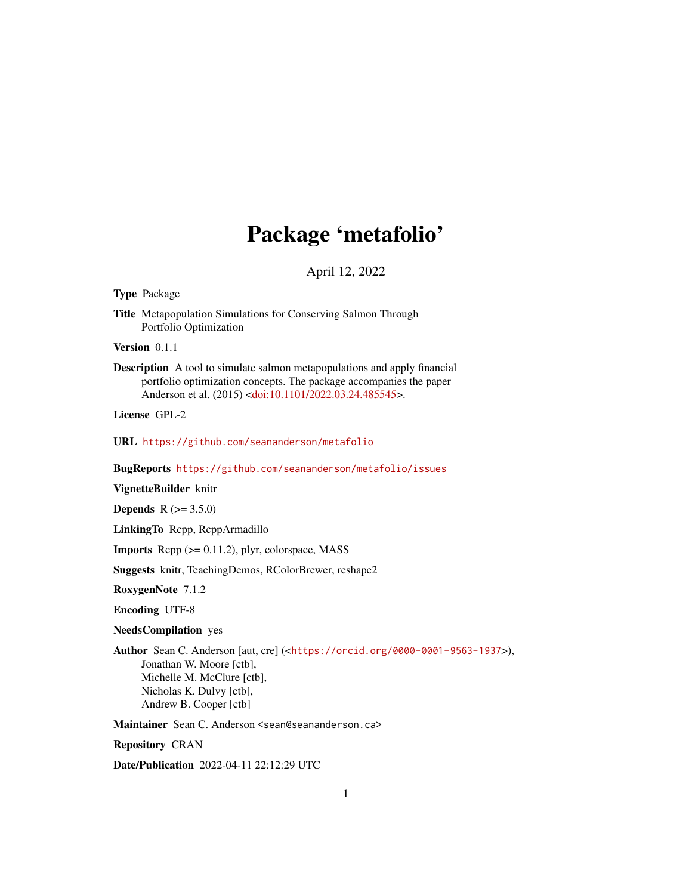# Package 'metafolio'

April 12, 2022

<span id="page-0-0"></span>Type Package

Title Metapopulation Simulations for Conserving Salmon Through Portfolio Optimization

Version 0.1.1

Description A tool to simulate salmon metapopulations and apply financial portfolio optimization concepts. The package accompanies the paper Anderson et al. (2015) [<doi:10.1101/2022.03.24.485545>](https://doi.org/10.1101/2022.03.24.485545).

License GPL-2

URL <https://github.com/seananderson/metafolio>

BugReports <https://github.com/seananderson/metafolio/issues>

VignetteBuilder knitr

**Depends**  $R (= 3.5.0)$ 

LinkingTo Rcpp, RcppArmadillo

**Imports** Rcpp  $(>= 0.11.2)$ , plyr, colorspace, MASS

Suggests knitr, TeachingDemos, RColorBrewer, reshape2

RoxygenNote 7.1.2

Encoding UTF-8

NeedsCompilation yes

Author Sean C. Anderson [aut, cre] (<<https://orcid.org/0000-0001-9563-1937>>), Jonathan W. Moore [ctb], Michelle M. McClure [ctb], Nicholas K. Dulvy [ctb], Andrew B. Cooper [ctb]

Maintainer Sean C. Anderson <sean@seananderson.ca>

Repository CRAN

Date/Publication 2022-04-11 22:12:29 UTC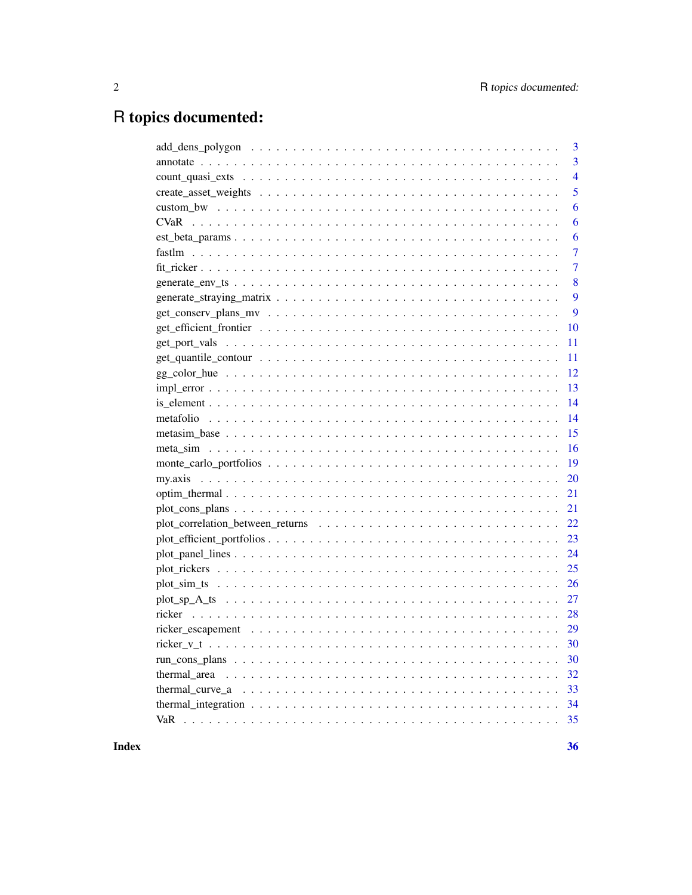## R topics documented:

| 3                                                                                                                                 |
|-----------------------------------------------------------------------------------------------------------------------------------|
| 3                                                                                                                                 |
| $\overline{4}$                                                                                                                    |
| 5                                                                                                                                 |
| 6                                                                                                                                 |
| 6                                                                                                                                 |
| 6                                                                                                                                 |
| 7                                                                                                                                 |
| 7                                                                                                                                 |
| 8                                                                                                                                 |
| 9                                                                                                                                 |
| 9                                                                                                                                 |
| 10                                                                                                                                |
| 11                                                                                                                                |
| 11                                                                                                                                |
| 12                                                                                                                                |
| 13                                                                                                                                |
| 14                                                                                                                                |
| 14                                                                                                                                |
| 15                                                                                                                                |
| 16                                                                                                                                |
| 19                                                                                                                                |
| 20                                                                                                                                |
| 21                                                                                                                                |
| 21                                                                                                                                |
| 22                                                                                                                                |
| 23                                                                                                                                |
| 24                                                                                                                                |
| 25                                                                                                                                |
| 26                                                                                                                                |
| 27                                                                                                                                |
| 28                                                                                                                                |
|                                                                                                                                   |
| 30                                                                                                                                |
| 30                                                                                                                                |
| 32                                                                                                                                |
| 33                                                                                                                                |
| thermal_integration $\dots \dots \dots \dots \dots \dots \dots \dots \dots \dots \dots \dots \dots \dots \dots \dots \dots$<br>34 |
| 35                                                                                                                                |
|                                                                                                                                   |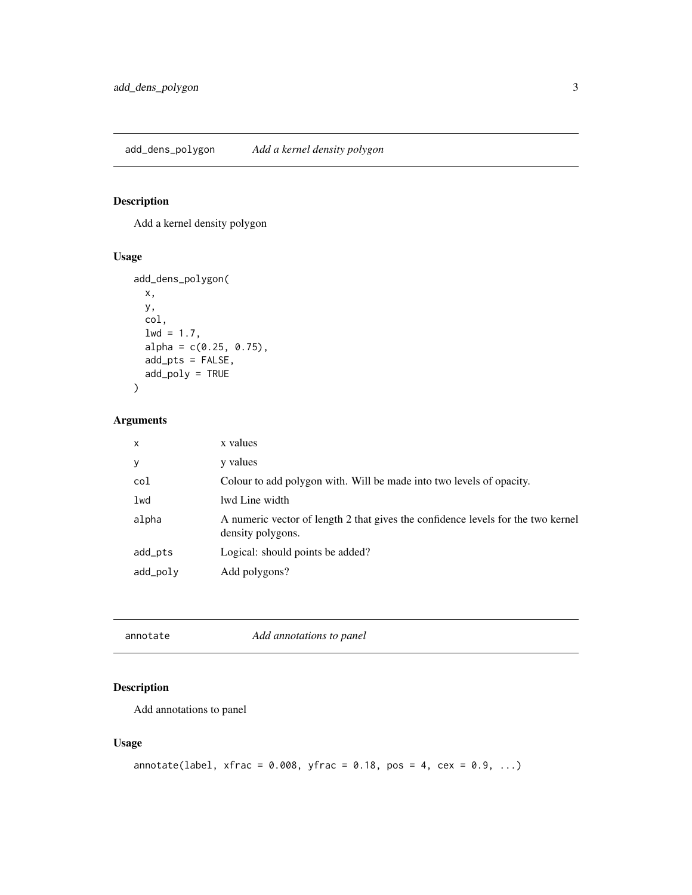<span id="page-2-0"></span>add\_dens\_polygon *Add a kernel density polygon*

## Description

Add a kernel density polygon

## Usage

```
add_dens_polygon(
  x,
  y,
  col,
  1wd = 1.7,
  alpha = c(0.25, 0.75),
  add_pts = FALSE,
  add_poly = TRUE
\mathcal{L}
```
## Arguments

| $\mathsf{x}$ | x values                                                                                              |
|--------------|-------------------------------------------------------------------------------------------------------|
| y            | y values                                                                                              |
| col          | Colour to add polygon with. Will be made into two levels of opacity.                                  |
| lwd          | lwd Line width                                                                                        |
| alpha        | A numeric vector of length 2 that gives the confidence levels for the two kernel<br>density polygons. |
| add_pts      | Logical: should points be added?                                                                      |
| add_poly     | Add polygons?                                                                                         |

| Add annotations to panel<br>annotate |  |  |  |
|--------------------------------------|--|--|--|
|--------------------------------------|--|--|--|

## Description

Add annotations to panel

```
annotate(label, xfrac = 0.008, yfrac = 0.18, pos = 4, cex = 0.9, ...)
```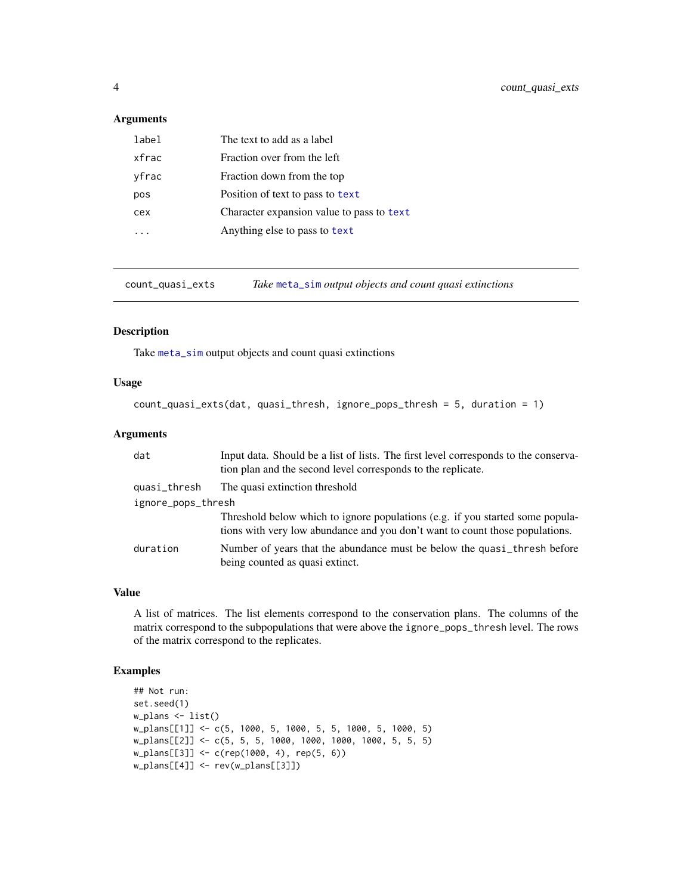<span id="page-3-0"></span>

| label | The text to add as a label                |
|-------|-------------------------------------------|
| xfrac | Fraction over from the left               |
| yfrac | Fraction down from the top                |
| pos   | Position of text to pass to text          |
| cex   | Character expansion value to pass to text |
|       | Anything else to pass to text             |

count\_quasi\_exts *Take* [meta\\_sim](#page-15-1) *output objects and count quasi extinctions*

#### Description

Take [meta\\_sim](#page-15-1) output objects and count quasi extinctions

#### Usage

```
count_quasi_exts(dat, quasi_thresh, ignore_pops_thresh = 5, duration = 1)
```
## Arguments

| dat                | Input data. Should be a list of lists. The first level corresponds to the conserva-<br>tion plan and the second level corresponds to the replicate.           |
|--------------------|---------------------------------------------------------------------------------------------------------------------------------------------------------------|
| quasi_thresh       | The quasi extinction threshold                                                                                                                                |
| ignore_pops_thresh |                                                                                                                                                               |
|                    | Threshold below which to ignore populations (e.g. if you started some popula-<br>tions with very low abundance and you don't want to count those populations. |
| duration           | Number of years that the abundance must be below the quasi_thresh before<br>being counted as quasi extinct.                                                   |

## Value

A list of matrices. The list elements correspond to the conservation plans. The columns of the matrix correspond to the subpopulations that were above the ignore\_pops\_thresh level. The rows of the matrix correspond to the replicates.

## Examples

```
## Not run:
set.seed(1)
w_plans <- list()
w_plans[[1]] <- c(5, 1000, 5, 1000, 5, 5, 1000, 5, 1000, 5)
w_plans[[2]] <- c(5, 5, 5, 1000, 1000, 1000, 1000, 5, 5, 5)
w_plans[[3]] <- c(rep(1000, 4), rep(5, 6))
w_plans[[4]] <- rev(w_plans[[3]])
```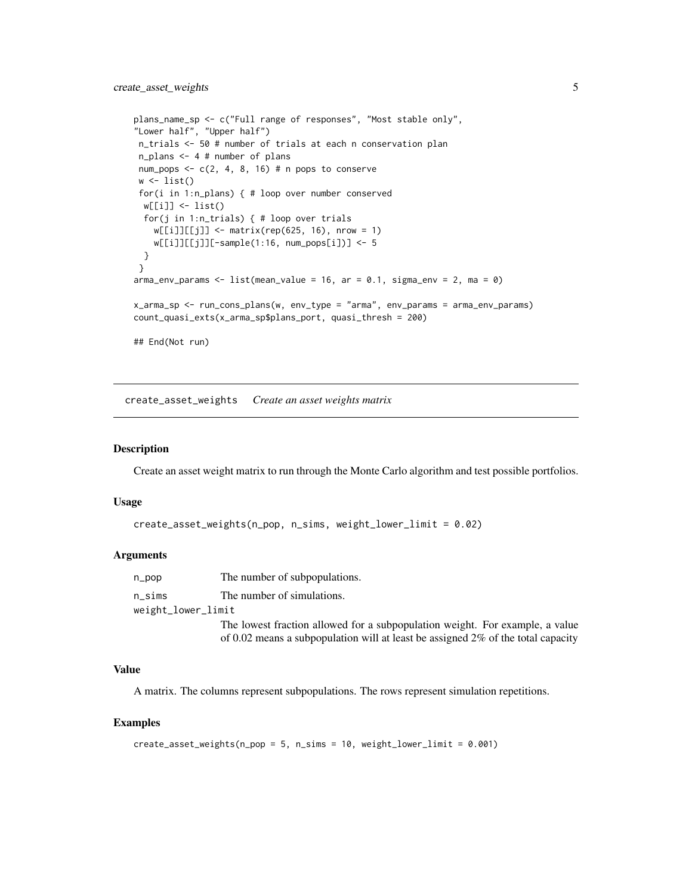```
plans_name_sp <- c("Full range of responses", "Most stable only",
"Lower half", "Upper half")
n_trials <- 50 # number of trials at each n conservation plan
n_plans <- 4 # number of plans
num_pops \leq -c(2, 4, 8, 16) # n pops to conserve
w \leftarrow list()for(i in 1:n_plans) { # loop over number conserved
 w[[i]] <- list()
 for(j in 1:n_trials) { # loop over trials
   w[[i]][[j]] \le - \text{matrix}(\text{rep}(625, 16), \text{ nrow} = 1)w[[i]][[j]][-sample(1:16, num_pops[i])] <- 5
 }
}
arma_{\text{conv}} params \leq 1 ist(mean_value = 16, ar = 0.1, sigma_env = 2, ma = 0)
x_arma_sp <- run_cons_plans(w, env_type = "arma", env_params = arma_env_params)
count_quasi_exts(x_arma_sp$plans_port, quasi_thresh = 200)
## End(Not run)
```
<span id="page-4-1"></span>create\_asset\_weights *Create an asset weights matrix*

#### **Description**

Create an asset weight matrix to run through the Monte Carlo algorithm and test possible portfolios.

#### Usage

```
create_asset_weights(n_pop, n_sims, weight_lower_limit = 0.02)
```
#### Arguments

n\_pop The number of subpopulations. n\_sims The number of simulations. weight\_lower\_limit

The lowest fraction allowed for a subpopulation weight. For example, a value of 0.02 means a subpopulation will at least be assigned 2% of the total capacity

## Value

A matrix. The columns represent subpopulations. The rows represent simulation repetitions.

#### Examples

```
create\_asset\_weights(n\_pop = 5, n\_sims = 10, weight\_lower\_limit = 0.001)
```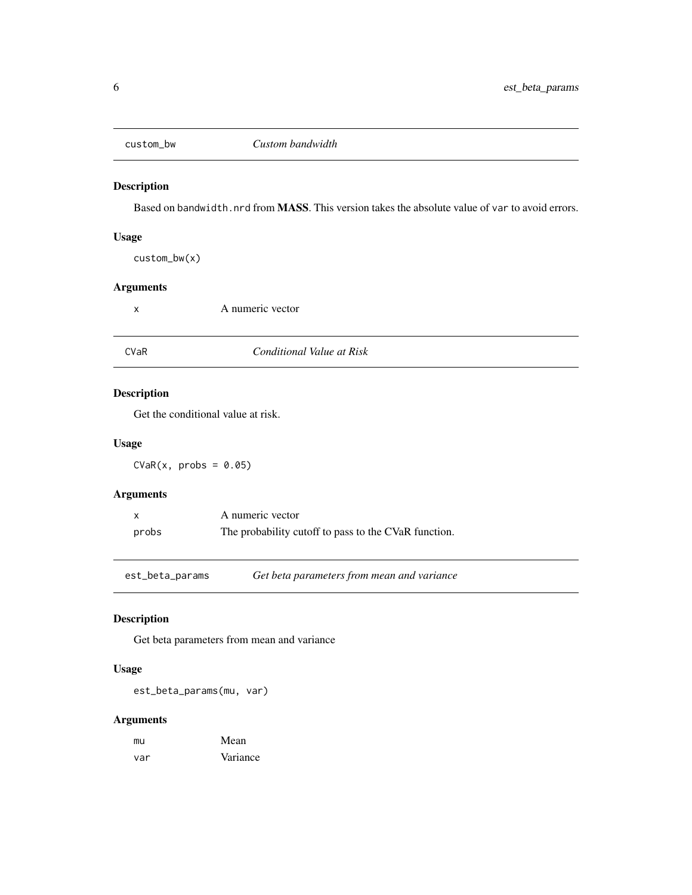<span id="page-5-0"></span>

Based on bandwidth.nrd from MASS. This version takes the absolute value of var to avoid errors.

## Usage

custom\_bw(x)

## Arguments

x A numeric vector

<span id="page-5-1"></span>

## CVaR *Conditional Value at Risk*

## Description

Get the conditional value at risk.

#### Usage

 $CVaR(x, probs = 0.05)$ 

## Arguments

|       | A numeric vector                                     |
|-------|------------------------------------------------------|
| probs | The probability cutoff to pass to the CVaR function. |

est\_beta\_params *Get beta parameters from mean and variance*

## Description

Get beta parameters from mean and variance

## Usage

est\_beta\_params(mu, var)

| mu  | Mean     |
|-----|----------|
| var | Variance |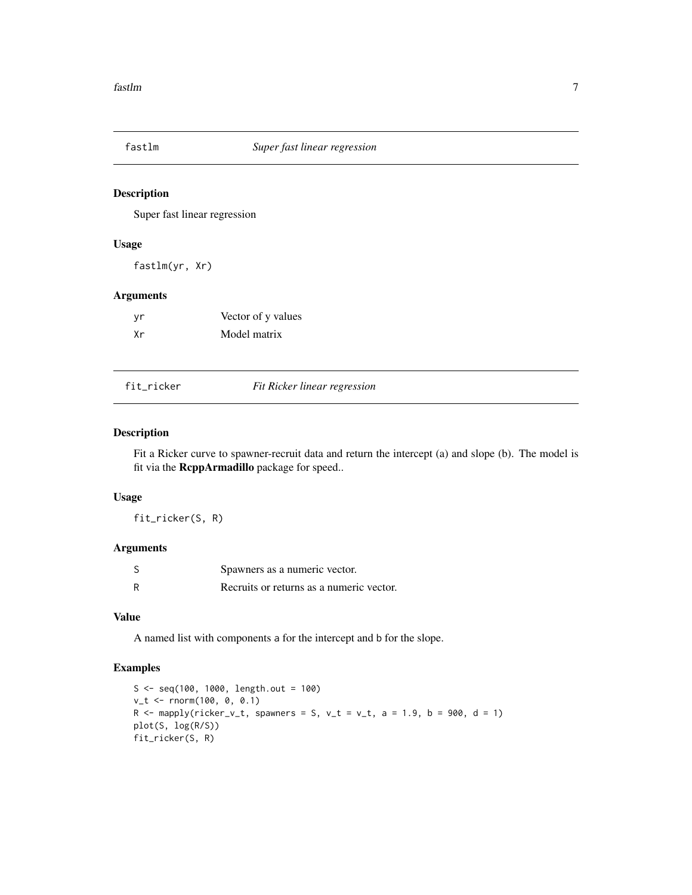<span id="page-6-0"></span>

Super fast linear regression

#### Usage

fastlm(yr, Xr)

## Arguments

| ٧r | Vector of y values |
|----|--------------------|
| Хr | Model matrix       |

<span id="page-6-1"></span>

|  | fit ricker |  |  |  |  |
|--|------------|--|--|--|--|
|  |            |  |  |  |  |

#### fit\_ricker *Fit Ricker linear regression*

#### Description

Fit a Ricker curve to spawner-recruit data and return the intercept (a) and slope (b). The model is fit via the RcppArmadillo package for speed..

## Usage

fit\_ricker(S, R)

### Arguments

| Spawners as a numeric vector.            |
|------------------------------------------|
| Recruits or returns as a numeric vector. |

#### Value

A named list with components a for the intercept and b for the slope.

## Examples

```
S <- seq(100, 1000, length.out = 100)
v_t <- rnorm(100, 0, 0.1)
R \le mapply(ricker_v_t, spawners = S, v_t = v_t, a = 1.9, b = 900, d = 1)
plot(S, log(R/S))
fit_ricker(S, R)
```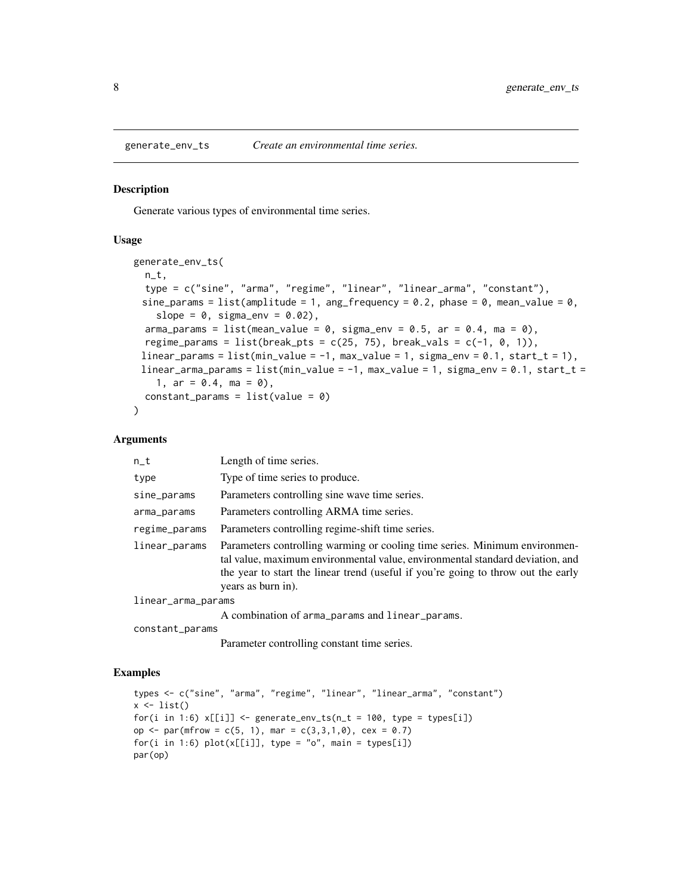<span id="page-7-1"></span><span id="page-7-0"></span>

Generate various types of environmental time series.

#### Usage

```
generate_env_ts(
 n_t,
  type = c("sine", "arma", "regime", "linear", "linear_arma", "constant"),
 sine_params = list(amplitude = 1, ang_frequency = 0.2, phase = 0, mean_value = 0,
    slope = 0, sigma_env = 0.02),
  arma_params = list(mean_value = 0, sigma_env = 0.5, ar = 0.4, ma = 0),
  regime_params = list(break_pts = c(25, 75), break_vals = c(-1, 0, 1)),
 linear_params = list(min_value = -1, max_value = 1, sigma_env = 0.1, start_t = 1),
 linear_arma_params = list(min_value = -1, max_value = 1, sigma_env = 0.1, start_t =
    1, ar = 0.4, ma = 0),
 constant\_params = list(value = 0))
```
#### Arguments

| $n_t$              | Length of time series.                                                                                                                                                                                                                                                 |
|--------------------|------------------------------------------------------------------------------------------------------------------------------------------------------------------------------------------------------------------------------------------------------------------------|
| type               | Type of time series to produce.                                                                                                                                                                                                                                        |
| sine_params        | Parameters controlling sine wave time series.                                                                                                                                                                                                                          |
| arma_params        | Parameters controlling ARMA time series.                                                                                                                                                                                                                               |
| regime_params      | Parameters controlling regime-shift time series.                                                                                                                                                                                                                       |
| linear_params      | Parameters controlling warming or cooling time series. Minimum environmen-<br>tal value, maximum environmental value, environmental standard deviation, and<br>the year to start the linear trend (useful if you're going to throw out the early<br>years as burn in). |
| linear_arma_params |                                                                                                                                                                                                                                                                        |
|                    | A combination of arma_params and linear_params.                                                                                                                                                                                                                        |
| constant_params    |                                                                                                                                                                                                                                                                        |

Parameter controlling constant time series.

## Examples

```
types <- c("sine", "arma", "regime", "linear", "linear_arma", "constant")
x \leftarrow list()
for(i in 1:6) x[[i]] \le generate_env_ts(n_t = 100, type = types[i])
op <- par(mfrow = c(5, 1), mar = c(3,3,1,0), cex = 0.7)
for(i in 1:6) plot(x[[i]], type = "o", main = types[i])par(op)
```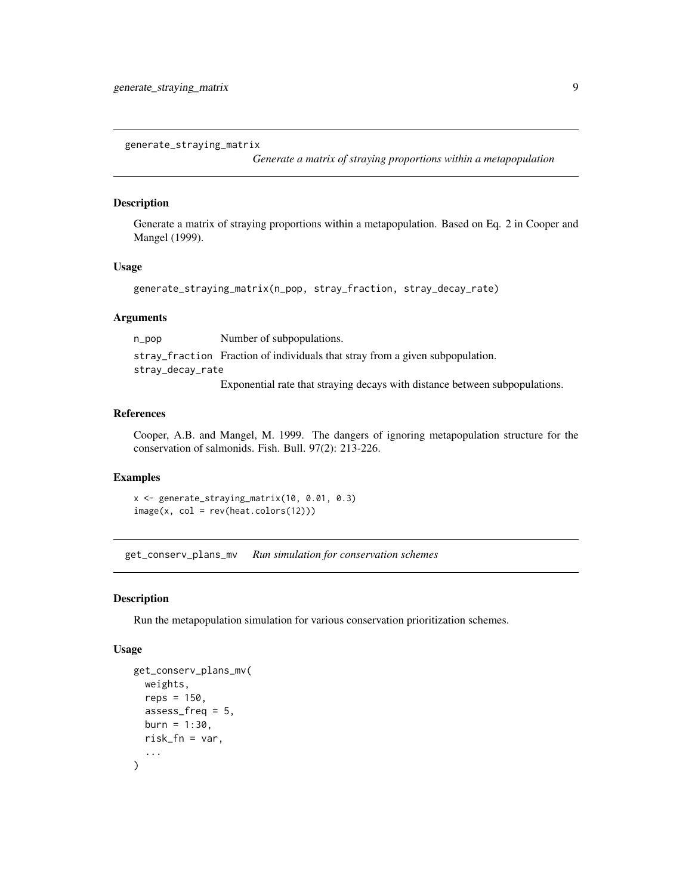<span id="page-8-0"></span>generate\_straying\_matrix

*Generate a matrix of straying proportions within a metapopulation*

#### Description

Generate a matrix of straying proportions within a metapopulation. Based on Eq. 2 in Cooper and Mangel (1999).

#### Usage

```
generate_straying_matrix(n_pop, stray_fraction, stray_decay_rate)
```
## Arguments

n\_pop Number of subpopulations. stray\_fraction Fraction of individuals that stray from a given subpopulation.

stray\_decay\_rate

Exponential rate that straying decays with distance between subpopulations.

#### References

Cooper, A.B. and Mangel, M. 1999. The dangers of ignoring metapopulation structure for the conservation of salmonids. Fish. Bull. 97(2): 213-226.

## Examples

```
x <- generate_straying_matrix(10, 0.01, 0.3)
image(x, col = rev(head.colors(12)))
```
get\_conserv\_plans\_mv *Run simulation for conservation schemes*

#### Description

Run the metapopulation simulation for various conservation prioritization schemes.

```
get_conserv_plans_mv(
  weights,
  reps = 150,
  assess\_freq = 5,
 burn = 1:30,
  risk_fn = var,
  ...
)
```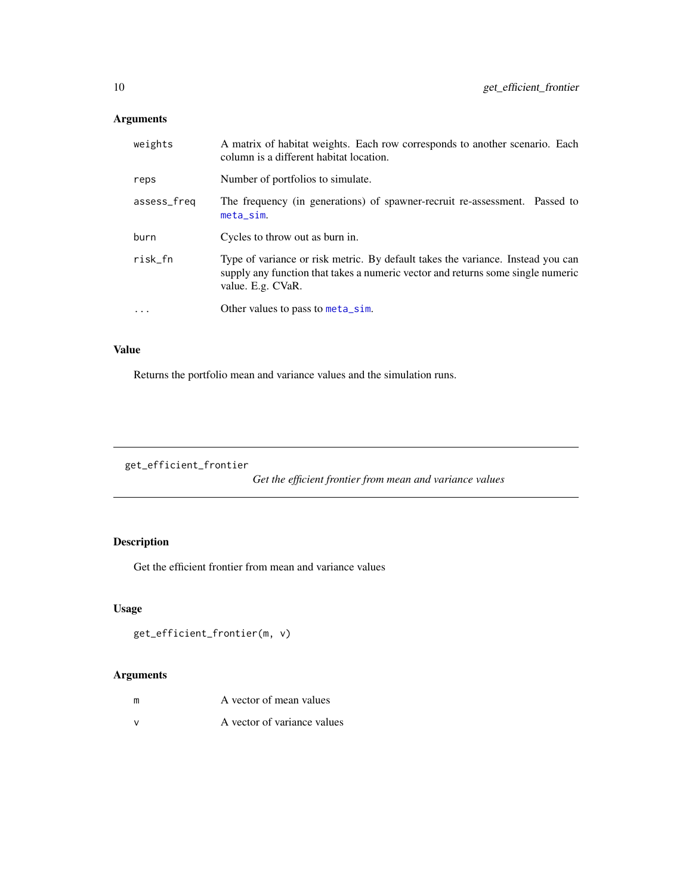<span id="page-9-0"></span>

| weights     | A matrix of habitat weights. Each row corresponds to another scenario. Each<br>column is a different habitat location.                                                                  |
|-------------|-----------------------------------------------------------------------------------------------------------------------------------------------------------------------------------------|
| reps        | Number of portfolios to simulate.                                                                                                                                                       |
| assess_freq | The frequency (in generations) of spawner-recruit re-assessment. Passed to<br>$meta$ _sim.                                                                                              |
| burn        | Cycles to throw out as burn in.                                                                                                                                                         |
| risk_fn     | Type of variance or risk metric. By default takes the variance. Instead you can<br>supply any function that takes a numeric vector and returns some single numeric<br>value. E.g. CVaR. |
| $\ddots$    | Other values to pass to meta_sim.                                                                                                                                                       |
|             |                                                                                                                                                                                         |

## Value

Returns the portfolio mean and variance values and the simulation runs.

get\_efficient\_frontier

*Get the efficient frontier from mean and variance values*

## Description

Get the efficient frontier from mean and variance values

## Usage

```
get_efficient_frontier(m, v)
```

| m | A vector of mean values     |
|---|-----------------------------|
|   | A vector of variance values |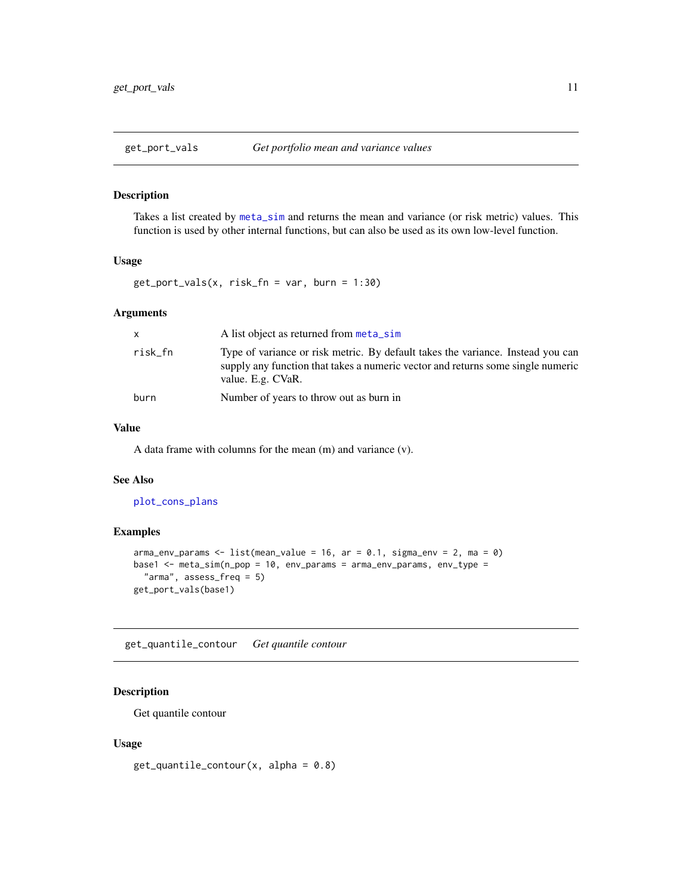<span id="page-10-0"></span>

Takes a list created by [meta\\_sim](#page-15-1) and returns the mean and variance (or risk metric) values. This function is used by other internal functions, but can also be used as its own low-level function.

## Usage

 $get\_port\_vals(x, risk_fn = var, burn = 1:30)$ 

#### Arguments

| X       | A list object as returned from meta_sim                                                                                                                                                 |
|---------|-----------------------------------------------------------------------------------------------------------------------------------------------------------------------------------------|
| risk_fn | Type of variance or risk metric. By default takes the variance. Instead you can<br>supply any function that takes a numeric vector and returns some single numeric<br>value. E.g. CVaR. |
| burn    | Number of years to throw out as burn in                                                                                                                                                 |

## Value

A data frame with columns for the mean (m) and variance (v).

## See Also

[plot\\_cons\\_plans](#page-20-1)

#### Examples

```
arma_{\text{conv}} params \leq 1 ist(mean_value = 16, ar = 0.1, sigma_env = 2, ma = 0)
base1 <- meta_sim(n_pop = 10, env_params = arma_env_params, env_type =
  "arma", assess_freq = 5)
get_port_vals(base1)
```
get\_quantile\_contour *Get quantile contour*

## Description

Get quantile contour

#### Usage

 $get_quantile_contour(x, alpha = 0.8)$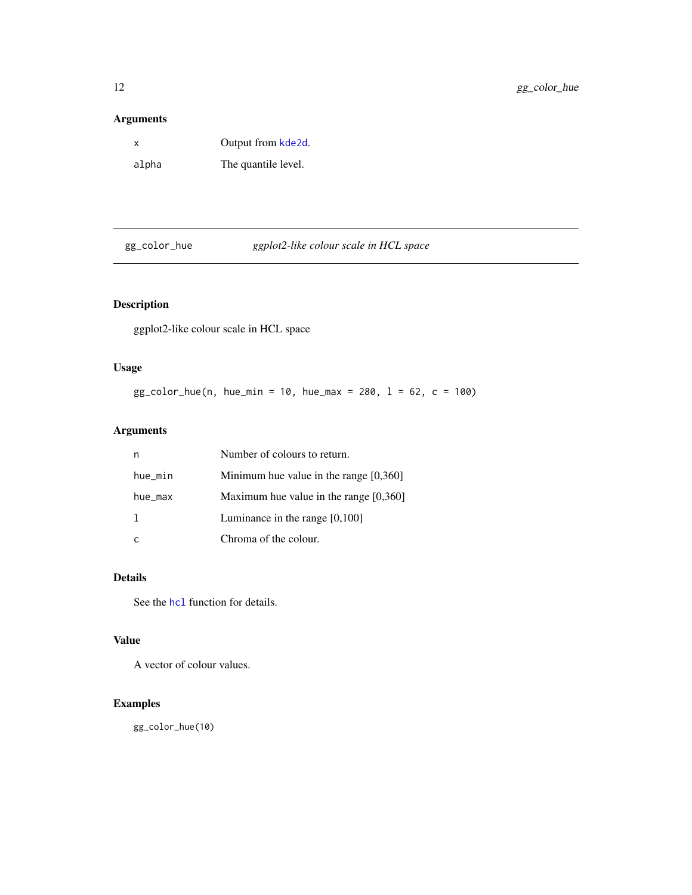<span id="page-11-0"></span>

| x     | Output from kde2d.  |
|-------|---------------------|
| alpha | The quantile level. |

gg\_color\_hue *ggplot2-like colour scale in HCL space*

## Description

ggplot2-like colour scale in HCL space

## Usage

```
gg_{\text{color}} - \text{blue}(n, \text{hue\_min} = 10, \text{hue\_max} = 280, \ 1 = 62, \ c = 100)
```
## Arguments

|         | Number of colours to return.             |
|---------|------------------------------------------|
| hue_min | Minimum hue value in the range $[0,360]$ |
| hue_max | Maximum hue value in the range $[0,360]$ |
|         | Luminance in the range $[0,100]$         |
|         | Chroma of the colour.                    |

## Details

See the [hcl](#page-0-0) function for details.

## Value

A vector of colour values.

## Examples

gg\_color\_hue(10)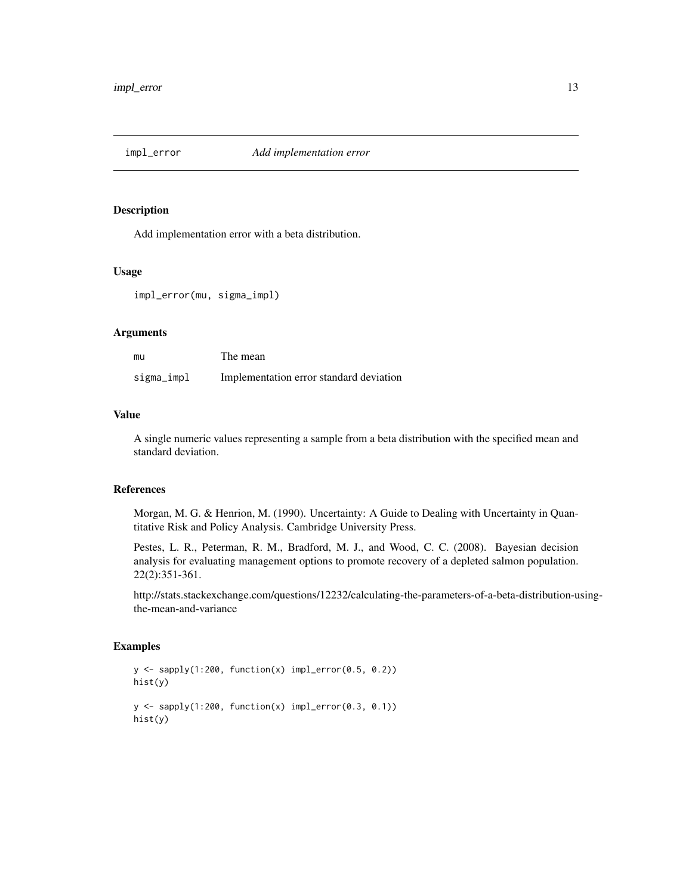<span id="page-12-1"></span><span id="page-12-0"></span>

Add implementation error with a beta distribution.

#### Usage

impl\_error(mu, sigma\_impl)

#### Arguments

| mu         | The mean                                |
|------------|-----------------------------------------|
| sigma_impl | Implementation error standard deviation |

## Value

A single numeric values representing a sample from a beta distribution with the specified mean and standard deviation.

#### References

Morgan, M. G. & Henrion, M. (1990). Uncertainty: A Guide to Dealing with Uncertainty in Quantitative Risk and Policy Analysis. Cambridge University Press.

Pestes, L. R., Peterman, R. M., Bradford, M. J., and Wood, C. C. (2008). Bayesian decision analysis for evaluating management options to promote recovery of a depleted salmon population. 22(2):351-361.

http://stats.stackexchange.com/questions/12232/calculating-the-parameters-of-a-beta-distribution-usingthe-mean-and-variance

## Examples

```
y \leq - sapply(1:200, function(x) impl_error(0.5, 0.2))
hist(y)
y \leq - sapply(1:200, function(x) impl_error(0.3, 0.1))
hist(y)
```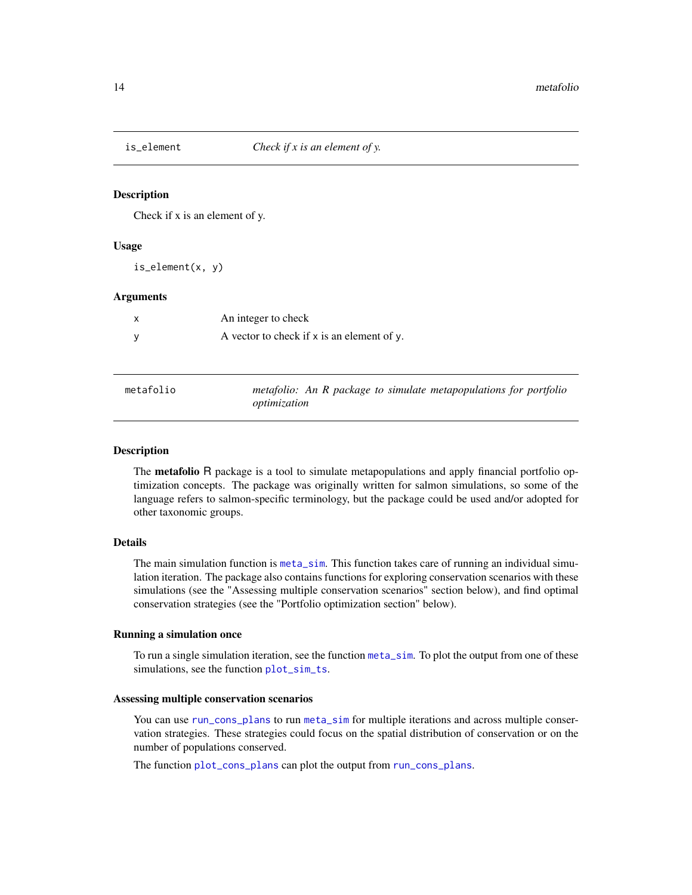<span id="page-13-0"></span>

Check if x is an element of y.

#### Usage

is\_element(x, y)

#### Arguments

| An integer to check                        |
|--------------------------------------------|
| A vector to check if x is an element of y. |

| metafolio | metafolio: An R package to simulate metapopulations for portfolio |
|-----------|-------------------------------------------------------------------|
|           | optimization                                                      |

#### Description

The **metafolio** R package is a tool to simulate metapopulations and apply financial portfolio optimization concepts. The package was originally written for salmon simulations, so some of the language refers to salmon-specific terminology, but the package could be used and/or adopted for other taxonomic groups.

#### Details

The main simulation function is [meta\\_sim](#page-15-1). This function takes care of running an individual simulation iteration. The package also contains functions for exploring conservation scenarios with these simulations (see the "Assessing multiple conservation scenarios" section below), and find optimal conservation strategies (see the "Portfolio optimization section" below).

#### Running a simulation once

To run a single simulation iteration, see the function [meta\\_sim](#page-15-1). To plot the output from one of these simulations, see the function [plot\\_sim\\_ts](#page-25-1).

#### Assessing multiple conservation scenarios

You can use [run\\_cons\\_plans](#page-29-1) to run [meta\\_sim](#page-15-1) for multiple iterations and across multiple conservation strategies. These strategies could focus on the spatial distribution of conservation or on the number of populations conserved.

The function [plot\\_cons\\_plans](#page-20-1) can plot the output from [run\\_cons\\_plans](#page-29-1).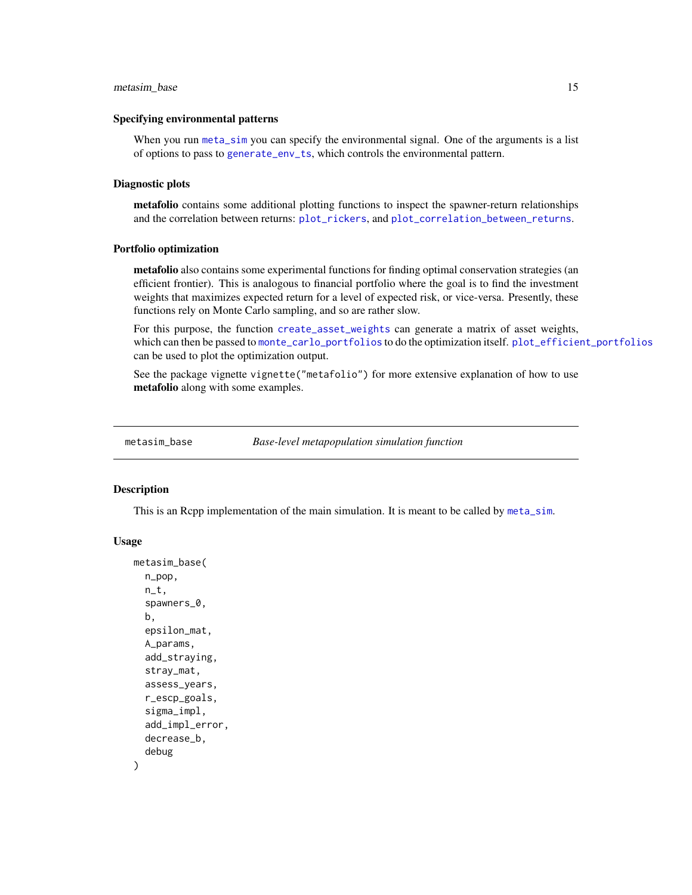#### <span id="page-14-0"></span>metasim\_base 15

#### Specifying environmental patterns

When you run [meta\\_sim](#page-15-1) you can specify the environmental signal. One of the arguments is a list of options to pass to [generate\\_env\\_ts](#page-7-1), which controls the environmental pattern.

#### Diagnostic plots

metafolio contains some additional plotting functions to inspect the spawner-return relationships and the correlation between returns: [plot\\_rickers](#page-24-1), and [plot\\_correlation\\_between\\_returns](#page-21-1).

## Portfolio optimization

metafolio also contains some experimental functions for finding optimal conservation strategies (an efficient frontier). This is analogous to financial portfolio where the goal is to find the investment weights that maximizes expected return for a level of expected risk, or vice-versa. Presently, these functions rely on Monte Carlo sampling, and so are rather slow.

For this purpose, the function [create\\_asset\\_weights](#page-4-1) can generate a matrix of asset weights, which can then be passed to [monte\\_carlo\\_portfolios](#page-18-1) to do the optimization itself. [plot\\_efficient\\_portfolios](#page-22-1) can be used to plot the optimization output.

See the package vignette vignette("metafolio") for more extensive explanation of how to use metafolio along with some examples.

metasim\_base *Base-level metapopulation simulation function*

#### Description

This is an Rcpp implementation of the main simulation. It is meant to be called by [meta\\_sim](#page-15-1).

```
metasim_base(
  n_pop,
  n_t,
  spawners_0,
 b,
  epsilon_mat,
  A_params,
  add_straying,
  stray_mat,
  assess_years,
  r_escp_goals,
  sigma_impl,
  add_impl_error,
  decrease_b,
  debug
)
```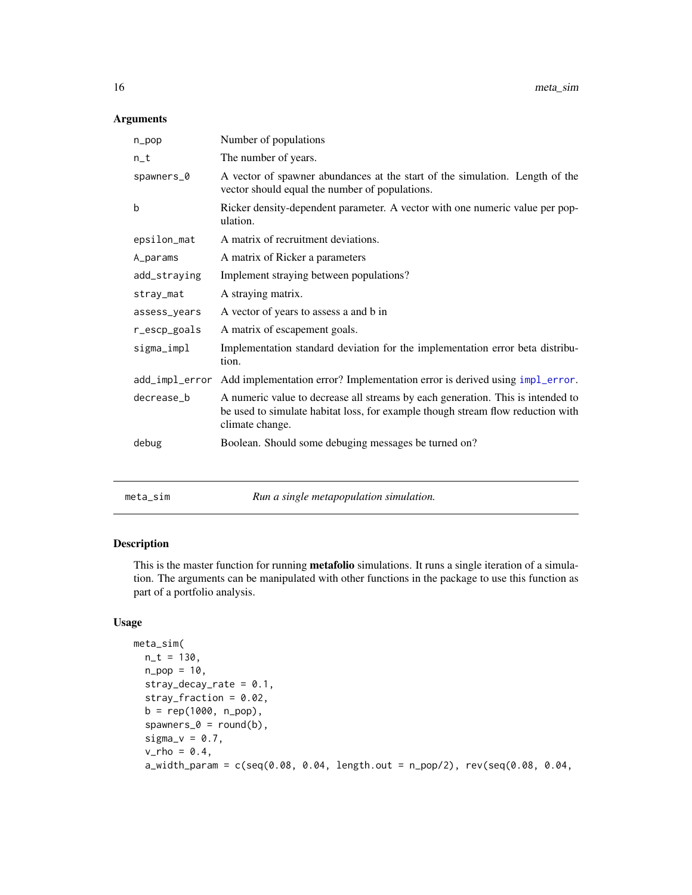<span id="page-15-0"></span>

| n_pop        | Number of populations                                                                                                                                                                 |
|--------------|---------------------------------------------------------------------------------------------------------------------------------------------------------------------------------------|
| $n_t$        | The number of years.                                                                                                                                                                  |
| spawners_0   | A vector of spawner abundances at the start of the simulation. Length of the<br>vector should equal the number of populations.                                                        |
| b            | Ricker density-dependent parameter. A vector with one numeric value per pop-<br>ulation.                                                                                              |
| epsilon_mat  | A matrix of recruitment deviations.                                                                                                                                                   |
| A_params     | A matrix of Ricker a parameters                                                                                                                                                       |
| add_straying | Implement straying between populations?                                                                                                                                               |
| stray_mat    | A straying matrix.                                                                                                                                                                    |
| assess_years | A vector of years to assess a and b in                                                                                                                                                |
| r_escp_goals | A matrix of escapement goals.                                                                                                                                                         |
| sigma_impl   | Implementation standard deviation for the implementation error beta distribu-<br>tion.                                                                                                |
|              | add_impl_error Add implementation error? Implementation error is derived using impl_error.                                                                                            |
| decrease_b   | A numeric value to decrease all streams by each generation. This is intended to<br>be used to simulate habitat loss, for example though stream flow reduction with<br>climate change. |
| debug        | Boolean. Should some debuging messages be turned on?                                                                                                                                  |
|              |                                                                                                                                                                                       |
| meta_sim     | Run a single metapopulation simulation.                                                                                                                                               |

## <span id="page-15-1"></span>Description

This is the master function for running metafolio simulations. It runs a single iteration of a simulation. The arguments can be manipulated with other functions in the package to use this function as part of a portfolio analysis.

```
meta_sim(
 n_t = 130,
 n_{pop} = 10,
  stray_decay_rate = 0.1,
  stray_fraction = 0.02,
  b = rep(1000, n_pop),spawners_0 = round(b),
  signa_v = 0.7,
  v_rho = 0.4,
  a_width_param = c(seq(0.08, 0.04, length.out = n_pop/2), rev(seq(0.08, 0.04,
```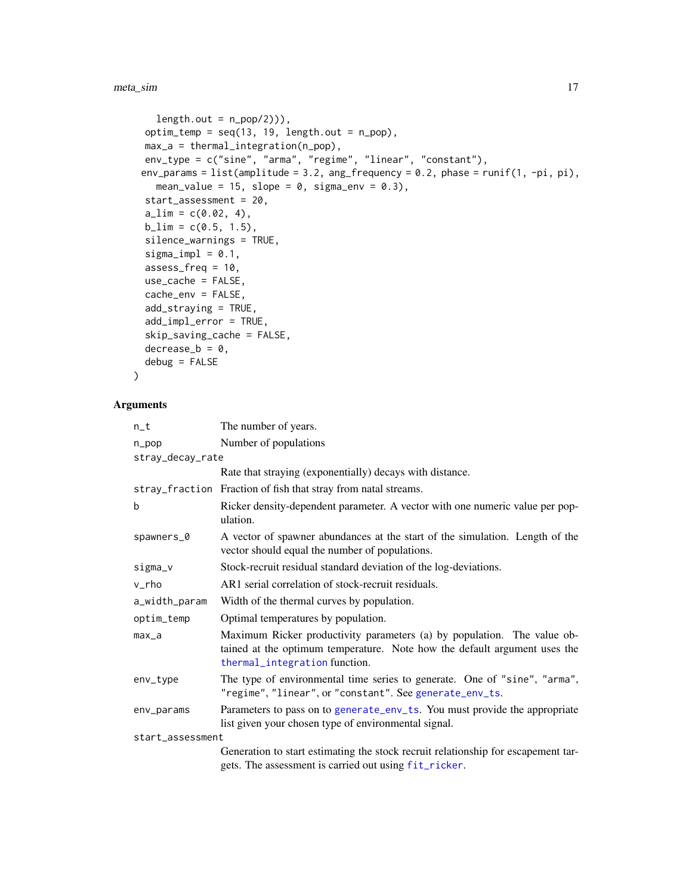```
length.out = n\_pop(2)),
option_temp = seq(13, 19, length.out = n.pop),max_a = thermal_integration(n_pop),
env_type = c("sine", "arma", "regime", "linear", "constant"),
env_params = list(amplitude = 3.2, ang_frequency = 0.2, phase = runif(1, -pi, pi),
  mean_value = 15, slope = 0, sigma_env = 0.3),
start_assessment = 20,
a<sup>1im</sup> = c(0.02, 4),
b<sup>1im = c(0.5, 1.5),</sup>
silence_warnings = TRUE,
sigmoid = 0.1,assess_freq = 10,
use_cache = FALSE,
cache_env = FALSE,
add_straying = TRUE,
add_impl_error = TRUE,
skip_saving_cache = FALSE,
decrease_b = 0,
debug = FALSE
```
 $\lambda$ 

| $n_t$            | The number of years.                                                                                                                                                                  |
|------------------|---------------------------------------------------------------------------------------------------------------------------------------------------------------------------------------|
| $n$ _pop         | Number of populations                                                                                                                                                                 |
| stray_decay_rate |                                                                                                                                                                                       |
|                  | Rate that straying (exponentially) decays with distance.                                                                                                                              |
|                  | stray_fraction Fraction of fish that stray from natal streams.                                                                                                                        |
| b                | Ricker density-dependent parameter. A vector with one numeric value per pop-<br>ulation.                                                                                              |
| spawners_0       | A vector of spawner abundances at the start of the simulation. Length of the<br>vector should equal the number of populations.                                                        |
| sigma_v          | Stock-recruit residual standard deviation of the log-deviations.                                                                                                                      |
| v_rho            | AR1 serial correlation of stock-recruit residuals.                                                                                                                                    |
| a_width_param    | Width of the thermal curves by population.                                                                                                                                            |
| optim_temp       | Optimal temperatures by population.                                                                                                                                                   |
| $max_a$          | Maximum Ricker productivity parameters (a) by population. The value ob-<br>tained at the optimum temperature. Note how the default argument uses the<br>thermal_integration function. |
| env_type         | The type of environmental time series to generate. One of "sine", "arma",<br>"regime", "linear", or "constant". See generate_env_ts.                                                  |
| env_params       | Parameters to pass on to generate_env_ts. You must provide the appropriate<br>list given your chosen type of environmental signal.                                                    |
| start_assessment |                                                                                                                                                                                       |
|                  | Generation to start estimating the stock recruit relationship for escapement tar-<br>gets. The assessment is carried out using fit_ricker.                                            |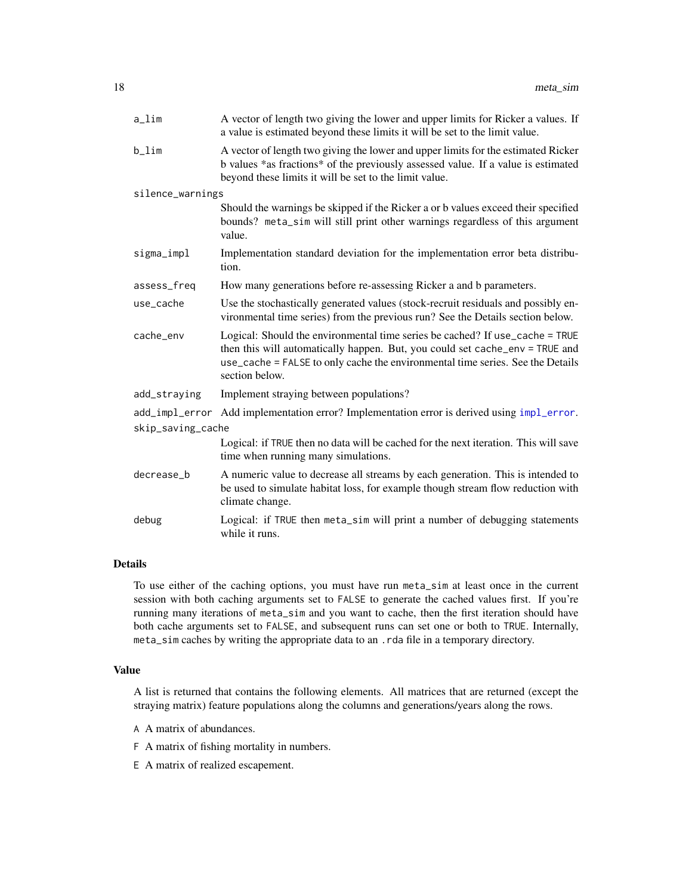<span id="page-17-0"></span>

| a_lim             | A vector of length two giving the lower and upper limits for Ricker a values. If<br>a value is estimated beyond these limits it will be set to the limit value.                                                                                                  |
|-------------------|------------------------------------------------------------------------------------------------------------------------------------------------------------------------------------------------------------------------------------------------------------------|
| b_lim             | A vector of length two giving the lower and upper limits for the estimated Ricker<br>b values *as fractions* of the previously assessed value. If a value is estimated<br>beyond these limits it will be set to the limit value.                                 |
| silence_warnings  |                                                                                                                                                                                                                                                                  |
|                   | Should the warnings be skipped if the Ricker a or b values exceed their specified<br>bounds? meta_sim will still print other warnings regardless of this argument<br>value.                                                                                      |
| sigma_impl        | Implementation standard deviation for the implementation error beta distribu-<br>tion.                                                                                                                                                                           |
| assess_freq       | How many generations before re-assessing Ricker a and b parameters.                                                                                                                                                                                              |
| use_cache         | Use the stochastically generated values (stock-recruit residuals and possibly en-<br>vironmental time series) from the previous run? See the Details section below.                                                                                              |
| cache_env         | Logical: Should the environmental time series be cached? If use_cache = TRUE<br>then this will automatically happen. But, you could set cache_env = TRUE and<br>use_cache = FALSE to only cache the environmental time series. See the Details<br>section below. |
| add_straying      | Implement straying between populations?                                                                                                                                                                                                                          |
| add_impl_error    | Add implementation error? Implementation error is derived using impl_error.                                                                                                                                                                                      |
| skip_saving_cache |                                                                                                                                                                                                                                                                  |
|                   | Logical: if TRUE then no data will be cached for the next iteration. This will save<br>time when running many simulations.                                                                                                                                       |
| decrease_b        | A numeric value to decrease all streams by each generation. This is intended to<br>be used to simulate habitat loss, for example though stream flow reduction with<br>climate change.                                                                            |
| debug             | Logical: if TRUE then meta_sim will print a number of debugging statements<br>while it runs.                                                                                                                                                                     |

#### Details

To use either of the caching options, you must have run meta\_sim at least once in the current session with both caching arguments set to FALSE to generate the cached values first. If you're running many iterations of meta\_sim and you want to cache, then the first iteration should have both cache arguments set to FALSE, and subsequent runs can set one or both to TRUE. Internally, meta\_sim caches by writing the appropriate data to an .rda file in a temporary directory.

## Value

A list is returned that contains the following elements. All matrices that are returned (except the straying matrix) feature populations along the columns and generations/years along the rows.

A A matrix of abundances.

F A matrix of fishing mortality in numbers.

E A matrix of realized escapement.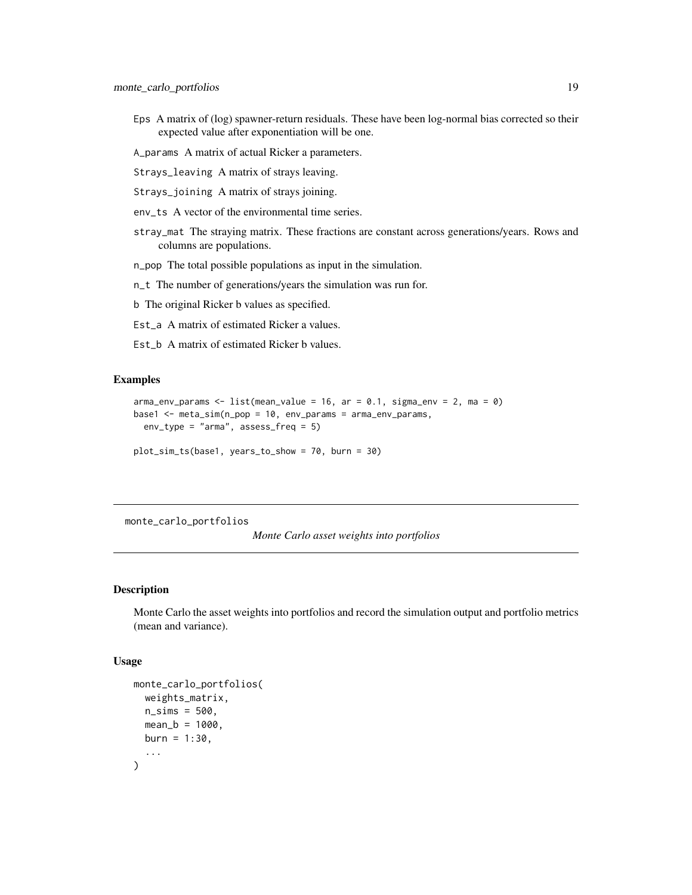- <span id="page-18-0"></span>Eps A matrix of (log) spawner-return residuals. These have been log-normal bias corrected so their expected value after exponentiation will be one.
- A\_params A matrix of actual Ricker a parameters.
- Strays\_leaving A matrix of strays leaving.
- Strays\_joining A matrix of strays joining.
- env\_ts A vector of the environmental time series.
- stray\_mat The straying matrix. These fractions are constant across generations/years. Rows and columns are populations.
- n\_pop The total possible populations as input in the simulation.
- n\_t The number of generations/years the simulation was run for.
- b The original Ricker b values as specified.
- Est\_a A matrix of estimated Ricker a values.
- Est\_b A matrix of estimated Ricker b values.

## Examples

```
arma_env_params <- list(mean_value = 16, ar = 0.1, sigma_env = 2, ma = 0)
base1 <- meta_sim(n_pop = 10, env_params = arma_env_params,
 env_type = "arma", assess_freq = 5)
```
plot\_sim\_ts(base1, years\_to\_show = 70, burn = 30)

<span id="page-18-1"></span>monte\_carlo\_portfolios

*Monte Carlo asset weights into portfolios*

#### **Description**

Monte Carlo the asset weights into portfolios and record the simulation output and portfolio metrics (mean and variance).

```
monte_carlo_portfolios(
  weights_matrix,
 n\_sims = 500,
 mean_b = 1000,
 burn = 1:30,...
)
```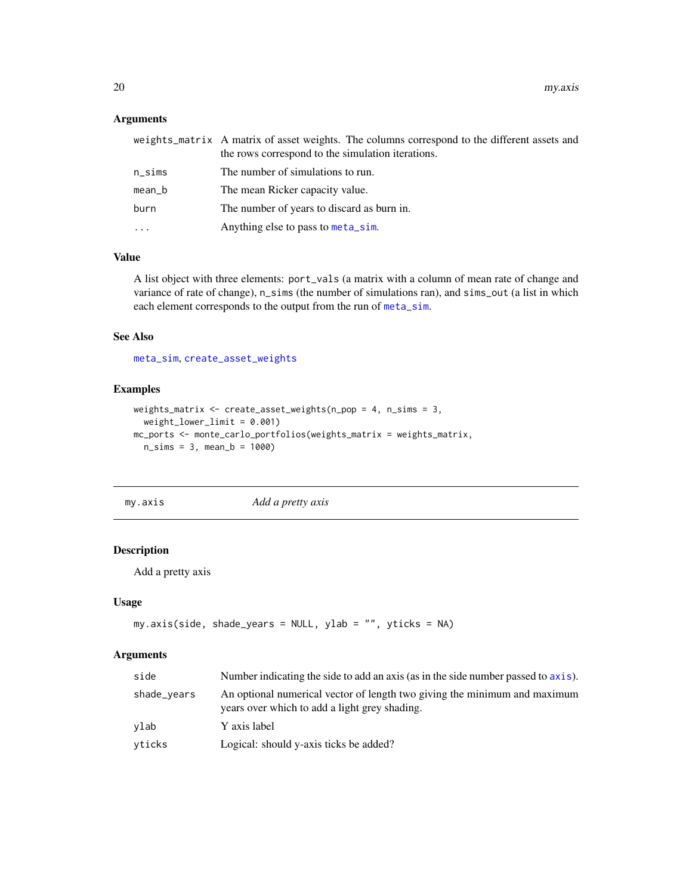<span id="page-19-0"></span>

|        | weights_matrix A matrix of asset weights. The columns correspond to the different assets and<br>the rows correspond to the simulation iterations. |
|--------|---------------------------------------------------------------------------------------------------------------------------------------------------|
| n_sims | The number of simulations to run.                                                                                                                 |
| mean_b | The mean Ricker capacity value.                                                                                                                   |
| burn   | The number of years to discard as burn in.                                                                                                        |
| .      | Anything else to pass to meta_sim.                                                                                                                |
|        |                                                                                                                                                   |

## Value

A list object with three elements: port\_vals (a matrix with a column of mean rate of change and variance of rate of change), n\_sims (the number of simulations ran), and sims\_out (a list in which each element corresponds to the output from the run of [meta\\_sim](#page-15-1).

#### See Also

[meta\\_sim](#page-15-1), [create\\_asset\\_weights](#page-4-1)

## Examples

```
weights_matrix <- create_asset_weights(n_pop = 4, n_sims = 3,
  weight_lower_limit = 0.001)
mc_ports <- monte_carlo_portfolios(weights_matrix = weights_matrix,
  n_{\text{sim}} = 3, mean_b = 1000
```
my.axis *Add a pretty axis*

## Description

Add a pretty axis

#### Usage

```
my.axis(side, shade_years = NULL, ylab = "", yticks = NA)
```

| side        | Number indicating the side to add an axis (as in the side number passed to axis).                                          |
|-------------|----------------------------------------------------------------------------------------------------------------------------|
| shade_vears | An optional numerical vector of length two giving the minimum and maximum<br>years over which to add a light grey shading. |
| vlab        | Y axis label                                                                                                               |
| vticks      | Logical: should y-axis ticks be added?                                                                                     |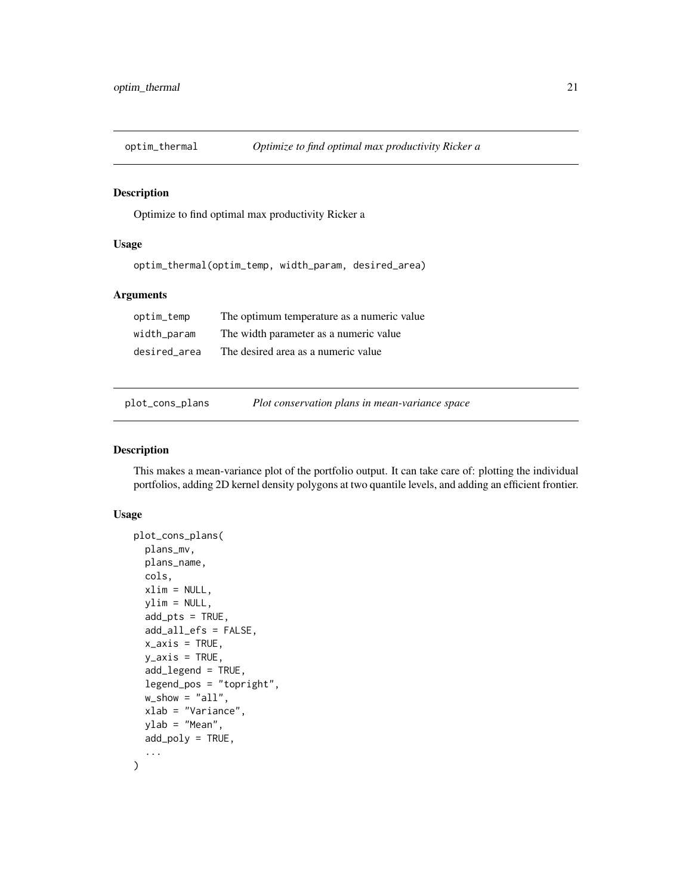<span id="page-20-2"></span><span id="page-20-0"></span>

Optimize to find optimal max productivity Ricker a

#### Usage

optim\_thermal(optim\_temp, width\_param, desired\_area)

#### Arguments

| optim_temp   | The optimum temperature as a numeric value. |
|--------------|---------------------------------------------|
| width_param  | The width parameter as a numeric value      |
| desired area | The desired area as a numeric value         |

<span id="page-20-1"></span>

plot\_cons\_plans *Plot conservation plans in mean-variance space*

#### Description

This makes a mean-variance plot of the portfolio output. It can take care of: plotting the individual portfolios, adding 2D kernel density polygons at two quantile levels, and adding an efficient frontier.

```
plot_cons_plans(
 plans_mv,
 plans_name,
  cols,
  xlim = NULL,ylim = NULL,
  add\_pts = TRUE,add_all_efs = FALSE,
  x_axis = TRUE,
 y_axis = TRUE,
  add_legend = TRUE,
  legend_pos = "topright",
 w_show = "all",
 xlab = "Variance",
 ylab = "Mean",
 add_poly = TRUE,
  ...
)
```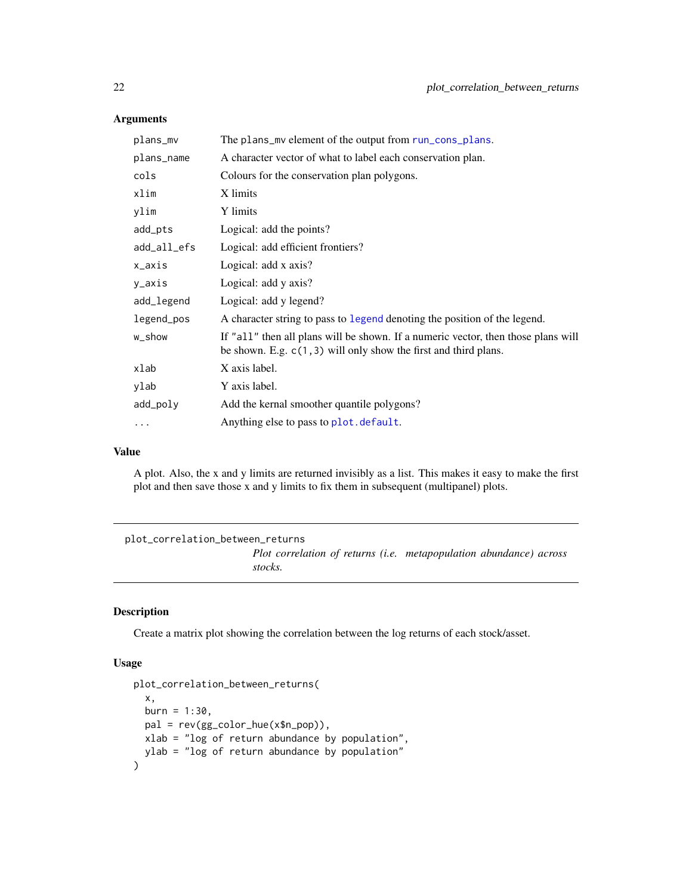| plans_mv    | The plans_my element of the output from run_cons_plans.                                                                                                 |
|-------------|---------------------------------------------------------------------------------------------------------------------------------------------------------|
| plans_name  | A character vector of what to label each conservation plan.                                                                                             |
| cols        | Colours for the conservation plan polygons.                                                                                                             |
| xlim        | X limits                                                                                                                                                |
| ylim        | Y limits                                                                                                                                                |
| add_pts     | Logical: add the points?                                                                                                                                |
| add_all_efs | Logical: add efficient frontiers?                                                                                                                       |
| x_axis      | Logical: add x axis?                                                                                                                                    |
| y_axis      | Logical: add y axis?                                                                                                                                    |
| add_legend  | Logical: add y legend?                                                                                                                                  |
| legend_pos  | A character string to pass to legend denoting the position of the legend.                                                                               |
| w_show      | If "all" then all plans will be shown. If a numeric vector, then those plans will<br>be shown. E.g. $c(1, 3)$ will only show the first and third plans. |
| xlab        | X axis label.                                                                                                                                           |
| ylab        | Y axis label.                                                                                                                                           |
| add_poly    | Add the kernal smoother quantile polygons?                                                                                                              |
| $\cdots$    | Anything else to pass to plot. default.                                                                                                                 |

## Value

A plot. Also, the x and y limits are returned invisibly as a list. This makes it easy to make the first plot and then save those x and y limits to fix them in subsequent (multipanel) plots.

<span id="page-21-1"></span>plot\_correlation\_between\_returns *Plot correlation of returns (i.e. metapopulation abundance) across stocks.*

#### Description

Create a matrix plot showing the correlation between the log returns of each stock/asset.

```
plot_correlation_between_returns(
  x,
 burn = 1:30,pal = rev(gg_color_hue(x$n_pop)),
 xlab = "log of return abundance by population",
 ylab = "log of return abundance by population"
\mathcal{E}
```
<span id="page-21-0"></span>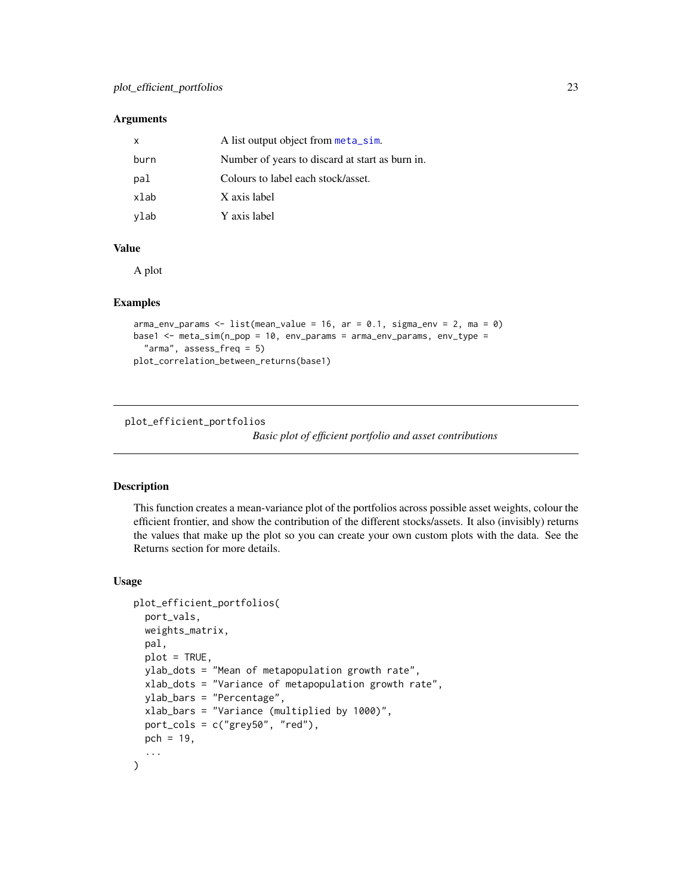<span id="page-22-0"></span>

| x    | A list output object from meta_sim.             |
|------|-------------------------------------------------|
| burn | Number of years to discard at start as burn in. |
| pal  | Colours to label each stock/asset.              |
| xlab | X axis label                                    |
| ylab | Y axis label                                    |

## Value

A plot

#### Examples

```
arma_{\text{conv}} params <- list(mean_value = 16, ar = 0.1, sigma_env = 2, ma = 0)
base1 <- meta_sim(n_pop = 10, env_params = arma_env_params, env_type =
  "arma", assess_freq = 5)
plot_correlation_between_returns(base1)
```
<span id="page-22-1"></span>plot\_efficient\_portfolios

*Basic plot of efficient portfolio and asset contributions*

## Description

This function creates a mean-variance plot of the portfolios across possible asset weights, colour the efficient frontier, and show the contribution of the different stocks/assets. It also (invisibly) returns the values that make up the plot so you can create your own custom plots with the data. See the Returns section for more details.

```
plot_efficient_portfolios(
  port_vals,
  weights_matrix,
  pal,
  plot = TRUE,
  ylab_dots = "Mean of metapopulation growth rate",
  xlab_dots = "Variance of metapopulation growth rate",
  ylab_bars = "Percentage",
  xlab_bars = "Variance (multiplied by 1000)",
  port_cols = c("grey50", "red"),
 pch = 19,
  ...
)
```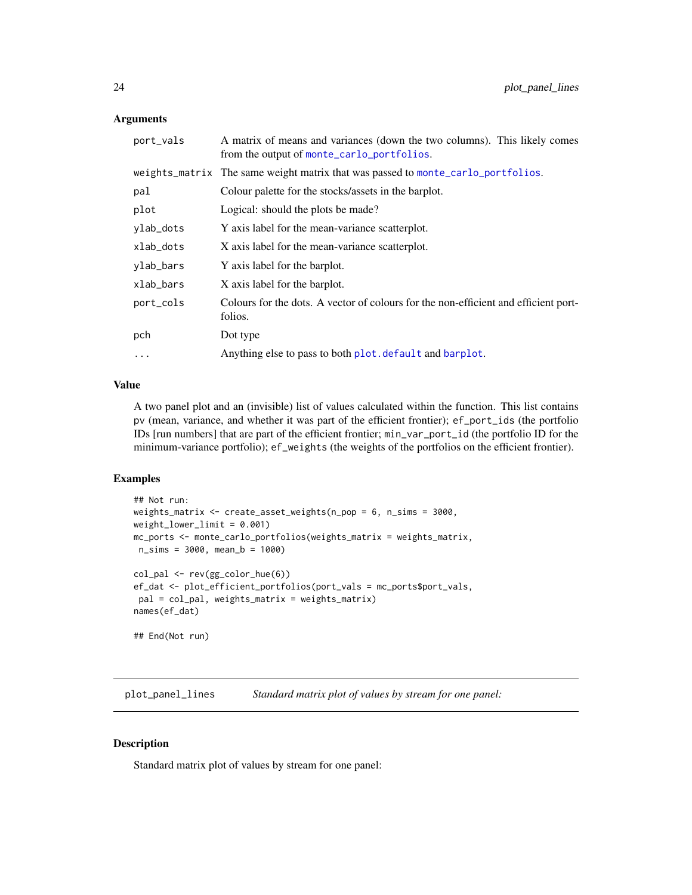<span id="page-23-0"></span>

| port_vals | A matrix of means and variances (down the two columns). This likely comes<br>from the output of monte_carlo_portfolios. |
|-----------|-------------------------------------------------------------------------------------------------------------------------|
|           | weights_matrix The same weight matrix that was passed to monte_carlo_portfolios.                                        |
| pal       | Colour palette for the stocks/assets in the barplot.                                                                    |
| plot      | Logical: should the plots be made?                                                                                      |
| ylab_dots | Y axis label for the mean-variance scatterplot.                                                                         |
| xlab_dots | X axis label for the mean-variance scatterplot.                                                                         |
| ylab_bars | Y axis label for the barplot.                                                                                           |
| xlab_bars | X axis label for the barplot.                                                                                           |
| port_cols | Colours for the dots. A vector of colours for the non-efficient and efficient port-<br>folios.                          |
| pch       | Dot type                                                                                                                |
| $\ddots$  | Anything else to pass to both plot. default and barplot.                                                                |
|           |                                                                                                                         |

## Value

A two panel plot and an (invisible) list of values calculated within the function. This list contains pv (mean, variance, and whether it was part of the efficient frontier); ef\_port\_ids (the portfolio IDs [run numbers] that are part of the efficient frontier; min\_var\_port\_id (the portfolio ID for the minimum-variance portfolio); ef\_weights (the weights of the portfolios on the efficient frontier).

## Examples

```
## Not run:
weights_matrix <- create_asset_weights(n_pop = 6, n_sims = 3000,
weight\_lower\_limit = 0.001mc_ports <- monte_carlo_portfolios(weights_matrix = weights_matrix,
n_sims = 3000, mean_b = 1000)
col_pal <- rev(gg_color_hue(6))
ef_dat <- plot_efficient_portfolios(port_vals = mc_ports$port_vals,
pal = col_pal, weights_matrix = weights_matrix)
names(ef_dat)
## End(Not run)
```
plot\_panel\_lines *Standard matrix plot of values by stream for one panel:*

## Description

Standard matrix plot of values by stream for one panel: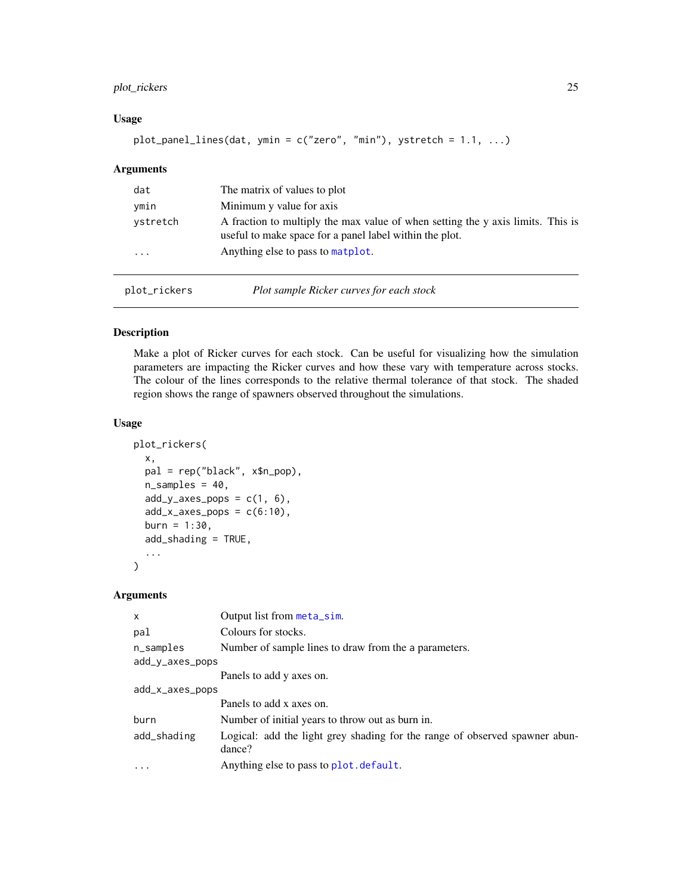## <span id="page-24-0"></span>plot\_rickers 25

## Usage

```
plot_panel_lines(dat, ymin = c("zero", "min"), ystretch = 1.1, ...)
```
#### Arguments

| dat          | The matrix of values to plot                                                                                                               |
|--------------|--------------------------------------------------------------------------------------------------------------------------------------------|
| ymin         | Minimum y value for axis                                                                                                                   |
| ystretch     | A fraction to multiply the max value of when setting the y axis limits. This is<br>useful to make space for a panel label within the plot. |
| $\ddotsc$    | Anything else to pass to matplot.                                                                                                          |
| plot_rickers | Plot sample Ricker curves for each stock                                                                                                   |

#### <span id="page-24-1"></span>Description

Make a plot of Ricker curves for each stock. Can be useful for visualizing how the simulation parameters are impacting the Ricker curves and how these vary with temperature across stocks. The colour of the lines corresponds to the relative thermal tolerance of that stock. The shaded region shows the range of spawners observed throughout the simulations.

#### Usage

```
plot_rickers(
  x,
 pal = rep("black", x$n_pop),
  n_samples = 40,
  add_y_axes_pops = c(1, 6),
  add_x_axes_pops = c(6:10),
  burn = 1:30,add_shading = TRUE,
  ...
\mathcal{L}
```

| $\mathsf{x}$    | Output list from meta_sim.                                                            |  |
|-----------------|---------------------------------------------------------------------------------------|--|
| pal             | Colours for stocks.                                                                   |  |
| n_samples       | Number of sample lines to draw from the a parameters.                                 |  |
| add_y_axes_pops |                                                                                       |  |
|                 | Panels to add y axes on.                                                              |  |
| add_x_axes_pops |                                                                                       |  |
|                 | Panels to add x axes on.                                                              |  |
| burn            | Number of initial years to throw out as burn in.                                      |  |
| add_shading     | Logical: add the light grey shading for the range of observed spawner abun-<br>dance? |  |
| $\cdot$         | Anything else to pass to plot. default.                                               |  |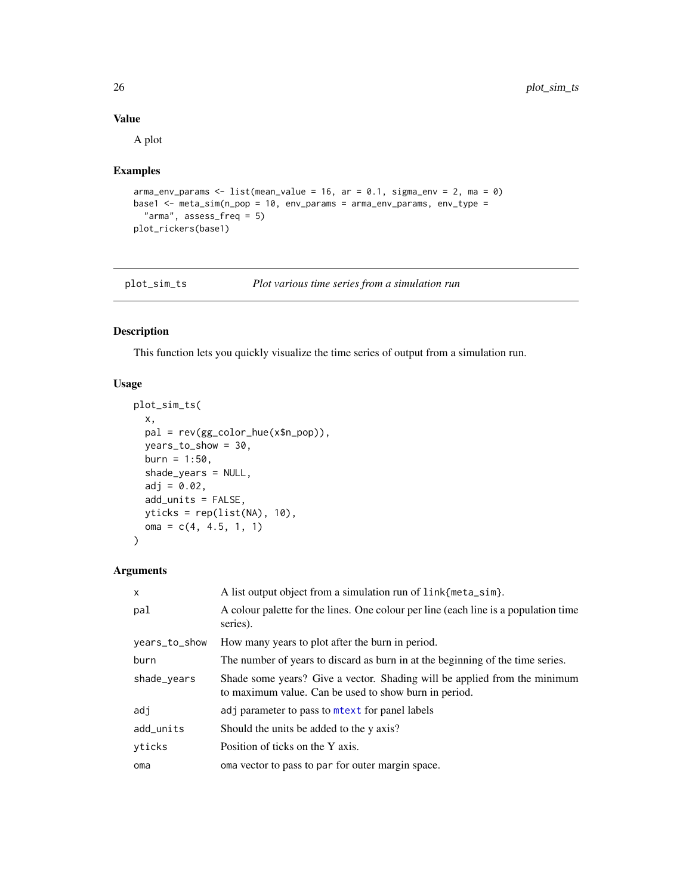## Value

A plot

## Examples

```
arma_env_params <- list(mean_value = 16, ar = 0.1, sigma_env = 2, ma = 0)
base1 <- meta_sim(n_pop = 10, env_params = arma_env_params, env_type =
  "arma", assess_freq = 5)
plot_rickers(base1)
```
<span id="page-25-1"></span>

| plot_sim_ts | Plot various time series from a simulation run |  |  |  |
|-------------|------------------------------------------------|--|--|--|
|             |                                                |  |  |  |

## Description

This function lets you quickly visualize the time series of output from a simulation run.

#### Usage

```
plot_sim_ts(
 x,
 pal = rev(gg_color_hue(x$n_pop)),
 years_to_show = 30,
 burn = 1:50,shade_years = NULL,
 adj = 0.02,add_units = FALSE,
 yticks = rep(list(NA), 10),
 oma = c(4, 4.5, 1, 1))
```

| $\mathsf{x}$  | A list output object from a simulation run of link{meta_sim}.                                                                      |
|---------------|------------------------------------------------------------------------------------------------------------------------------------|
| pal           | A colour palette for the lines. One colour per line (each line is a population time<br>series).                                    |
| years_to_show | How many years to plot after the burn in period.                                                                                   |
| burn          | The number of years to discard as burn in at the beginning of the time series.                                                     |
| shade_years   | Shade some years? Give a vector. Shading will be applied from the minimum<br>to maximum value. Can be used to show burn in period. |
| adj           | adj parameter to pass to metext for panel labels                                                                                   |
| add_units     | Should the units be added to the y axis?                                                                                           |
| yticks        | Position of ticks on the Y axis.                                                                                                   |
| oma           | oma vector to pass to par for outer margin space.                                                                                  |

<span id="page-25-0"></span>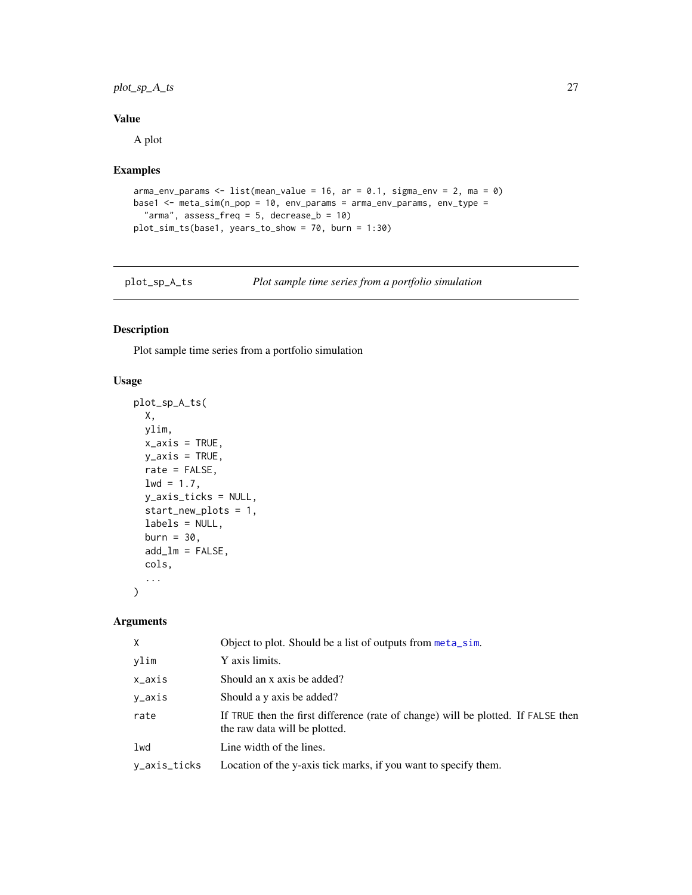## <span id="page-26-0"></span>plot\_sp\_A\_ts 27

## Value

A plot

## Examples

```
arma\_env\_params \leq list(mean_value = 16, ar = 0.1, sigma\_env = 2, ma = 0)base1 <- meta_sim(n_pop = 10, env_params = arma_env_params, env_type =
  "arma", assess_freq = 5, decrease_b = 10)
plot_sim_ts(base1, years_to_show = 70, burn = 1:30)
```

| Plot sample time series from a portfolio simulation<br>plot_sp_A_ts |  |  |
|---------------------------------------------------------------------|--|--|
|---------------------------------------------------------------------|--|--|

## Description

Plot sample time series from a portfolio simulation

## Usage

```
plot_sp_A_ts(
 X,
 ylim,
 x_axis = TRUE,y_axis = TRUE,rate = FALSE,
 1wd = 1.7,
 y_axis_ticks = NULL,
  start_new_plots = 1,
 labels = NULL,
 burn = 30,
  add\_lm = FALSE,cols,
  ...
\mathcal{L}
```

| $\times$     | Object to plot. Should be a list of outputs from meta_sim.                                                         |
|--------------|--------------------------------------------------------------------------------------------------------------------|
| ylim         | Y axis limits.                                                                                                     |
| x_axis       | Should an x axis be added?                                                                                         |
| y_axis       | Should a y axis be added?                                                                                          |
| rate         | If TRUE then the first difference (rate of change) will be plotted. If FALSE then<br>the raw data will be plotted. |
| lwd          | Line width of the lines.                                                                                           |
| y_axis_ticks | Location of the y-axis tick marks, if you want to specify them.                                                    |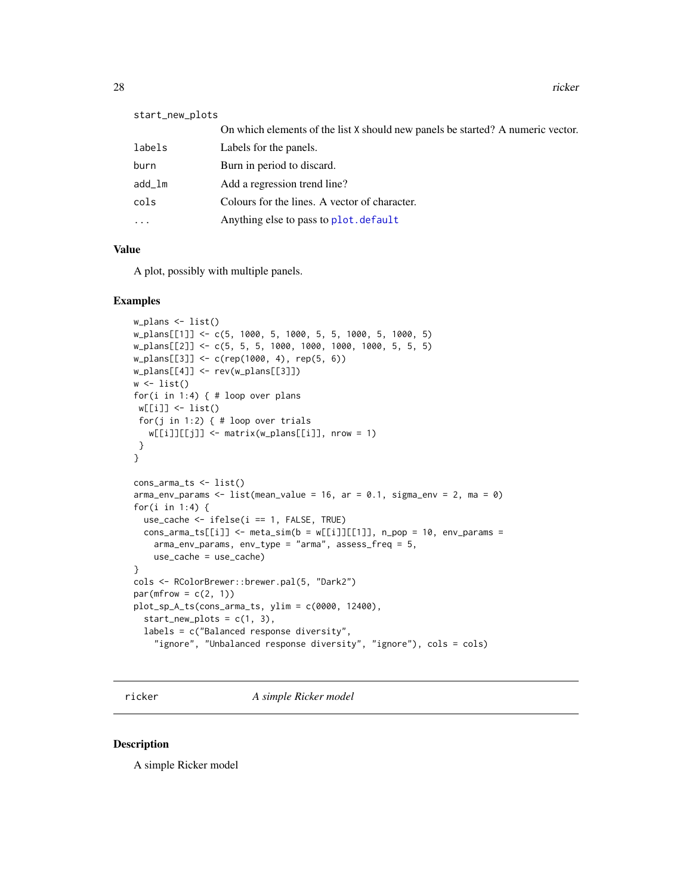<span id="page-27-0"></span>

| start_new_plots |                                                                                 |
|-----------------|---------------------------------------------------------------------------------|
|                 | On which elements of the list X should new panels be started? A numeric vector. |
| labels          | Labels for the panels.                                                          |
| burn            | Burn in period to discard.                                                      |
| add_lm          | Add a regression trend line?                                                    |
| cols            | Colours for the lines. A vector of character.                                   |
| $\cdots$        | Anything else to pass to plot. default                                          |
|                 |                                                                                 |

## Value

A plot, possibly with multiple panels.

#### Examples

```
w_plans <- list()
w_plans[[1]] <- c(5, 1000, 5, 1000, 5, 5, 1000, 5, 1000, 5)
w_plans[[2]] <- c(5, 5, 5, 1000, 1000, 1000, 1000, 5, 5, 5)
w_plans[[3]] <- c(rep(1000, 4), rep(5, 6))
w_plans[[4]] <- rev(w_plans[[3]])
w \leftarrow list()for(i in 1:4) { # loop over plans
w[[i]] <- list()
 for(j in 1:2) { # loop over trials
   w[[i]][[j]] \leftarrow matrix(w\_plans[[i]], nrow = 1)}
}
cons_arma_ts <- list()
arma_env_params <- list(mean_value = 16, ar = 0.1, sigma_env = 2, ma = 0)
for(i in 1:4) {
 use_cache \le ifelse(i == 1, FALSE, TRUE)
 cons_1arma_ts[[i]] <- meta_sim(b = w[[i]][[1]], n_pop = 10, env_params =
   arma_env_params, env_type = "arma", assess_freq = 5,
   use_cache = use_cache)
}
cols <- RColorBrewer::brewer.pal(5, "Dark2")
par(mfrow = c(2, 1))plot_sp_A_ts(cons_arma_ts, ylim = c(0000, 12400),
  start_new_plots = c(1, 3),labels = c("Balanced response diversity",
    "ignore", "Unbalanced response diversity", "ignore"), cols = cols)
```
ricker *A simple Ricker model*

#### Description

A simple Ricker model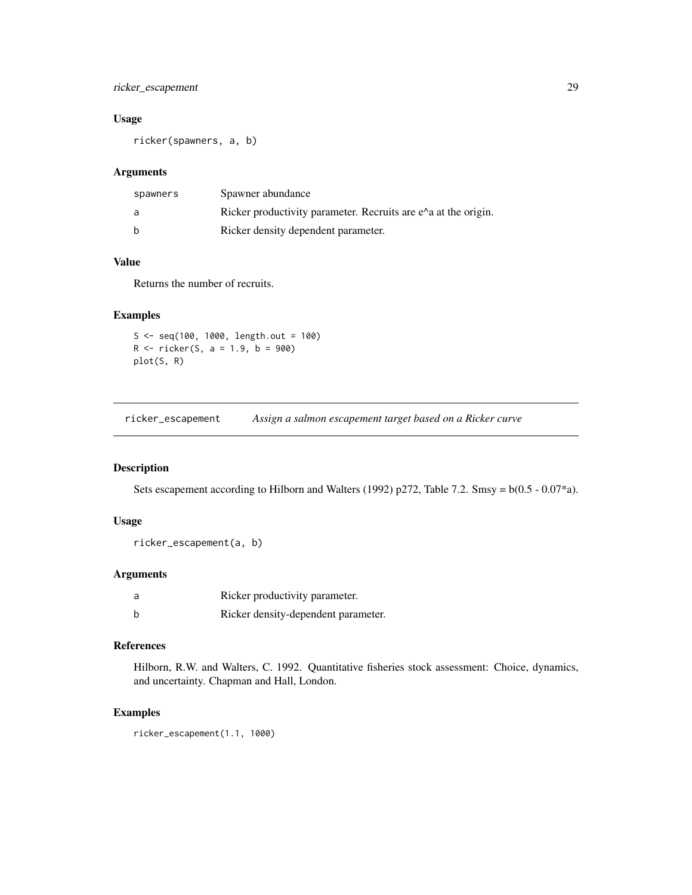## <span id="page-28-0"></span>ricker\_escapement 29

## Usage

ricker(spawners, a, b)

## Arguments

| spawners | Spawner abundance                                                        |
|----------|--------------------------------------------------------------------------|
| a        | Ricker productivity parameter. Recruits are $e^{\lambda}$ at the origin. |
| b        | Ricker density dependent parameter.                                      |

## Value

Returns the number of recruits.

## Examples

 $S < -$  seq(100, 1000, length.out = 100)  $R$  <- ricker(S, a = 1.9, b = 900) plot(S, R)

ricker\_escapement *Assign a salmon escapement target based on a Ricker curve*

#### Description

Sets escapement according to Hilborn and Walters (1992) p272, Table 7.2. Smsy =  $b(0.5 - 0.07^*)$ .

## Usage

```
ricker_escapement(a, b)
```
#### Arguments

| Ricker productivity parameter.      |
|-------------------------------------|
| Ricker density-dependent parameter. |

#### References

Hilborn, R.W. and Walters, C. 1992. Quantitative fisheries stock assessment: Choice, dynamics, and uncertainty. Chapman and Hall, London.

#### Examples

ricker\_escapement(1.1, 1000)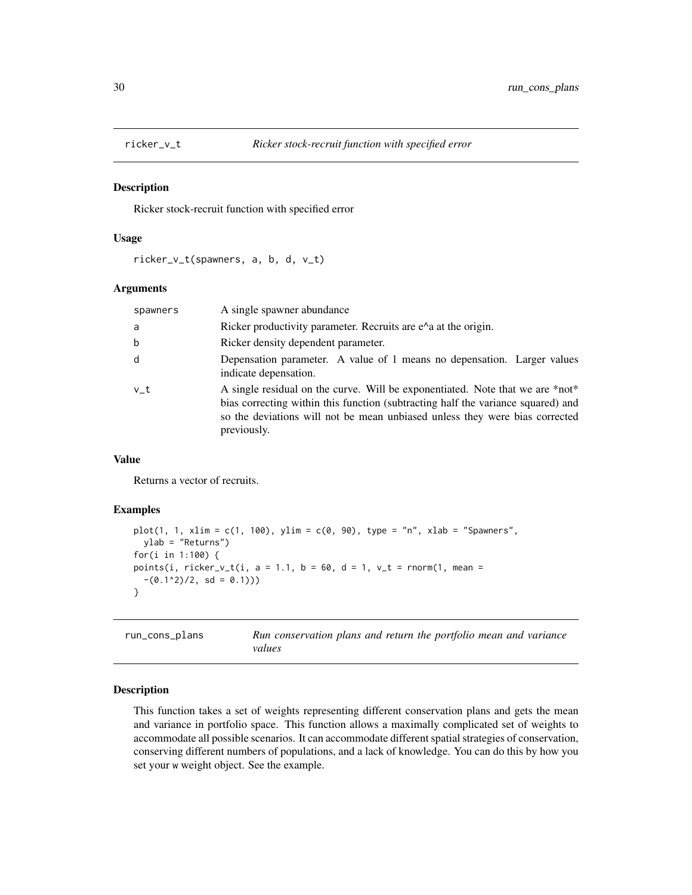<span id="page-29-0"></span>

Ricker stock-recruit function with specified error

#### Usage

ricker\_v\_t(spawners, a, b, d, v\_t)

#### Arguments

| spawners | A single spawner abundance                                                                                                                                                                                                                                      |  |
|----------|-----------------------------------------------------------------------------------------------------------------------------------------------------------------------------------------------------------------------------------------------------------------|--|
| a        | Ricker productivity parameter. Recruits are $e^{\Lambda}$ at the origin.                                                                                                                                                                                        |  |
| b        | Ricker density dependent parameter.                                                                                                                                                                                                                             |  |
| d        | Depensation parameter. A value of 1 means no depensation. Larger values<br>indicate depensation.                                                                                                                                                                |  |
| v t      | A single residual on the curve. Will be exponentiated. Note that we are *not*<br>bias correcting within this function (subtracting half the variance squared) and<br>so the deviations will not be mean unbiased unless they were bias corrected<br>previously. |  |

## Value

Returns a vector of recruits.

## Examples

```
plot(1, 1, xlim = c(1, 100), ylim = c(0, 90), type = "n", xlab = "Spawners",
  ylab = "Returns")
for(i in 1:100) {
points(i, ricker_v_t(i, a = 1.1, b = 60, d = 1, v_t = rnorm(1, mean =
  -(0.1^2)/2, sd = 0.1))
}
```
<span id="page-29-1"></span>run\_cons\_plans *Run conservation plans and return the portfolio mean and variance values*

## Description

This function takes a set of weights representing different conservation plans and gets the mean and variance in portfolio space. This function allows a maximally complicated set of weights to accommodate all possible scenarios. It can accommodate different spatial strategies of conservation, conserving different numbers of populations, and a lack of knowledge. You can do this by how you set your w weight object. See the example.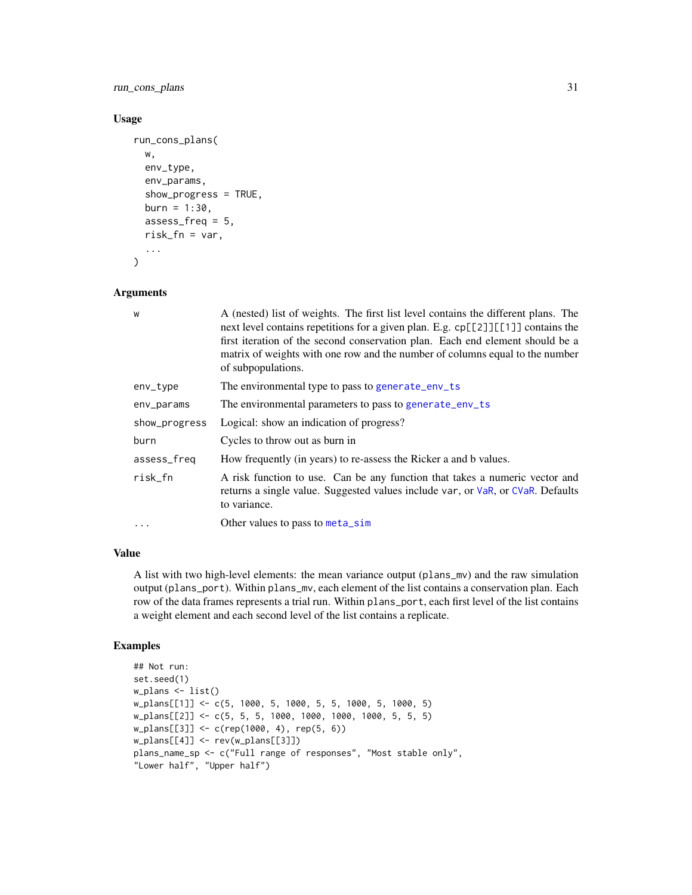<span id="page-30-0"></span>run\_cons\_plans 31

## Usage

```
run_cons_plans(
  w,
  env_type,
  env_params,
  show_progress = TRUE,
 burn = 1:30,assess_freq = 5,
  risk_fn = var,...
\mathcal{L}
```
#### Arguments

| W             | A (nested) list of weights. The first list level contains the different plans. The<br>next level contains repetitions for a given plan. E.g. cp[[2]][[1]] contains the<br>first iteration of the second conservation plan. Each end element should be a<br>matrix of weights with one row and the number of columns equal to the number<br>of subpopulations. |
|---------------|---------------------------------------------------------------------------------------------------------------------------------------------------------------------------------------------------------------------------------------------------------------------------------------------------------------------------------------------------------------|
| env_type      | The environmental type to pass to generate_env_ts                                                                                                                                                                                                                                                                                                             |
| env_params    | The environmental parameters to pass to generate_env_ts                                                                                                                                                                                                                                                                                                       |
| show_progress | Logical: show an indication of progress?                                                                                                                                                                                                                                                                                                                      |
| burn          | Cycles to throw out as burn in                                                                                                                                                                                                                                                                                                                                |
| assess_freq   | How frequently (in years) to re-assess the Ricker a and b values.                                                                                                                                                                                                                                                                                             |
| risk_fn       | A risk function to use. Can be any function that takes a numeric vector and<br>returns a single value. Suggested values include var, or VaR, or CVaR. Defaults<br>to variance.                                                                                                                                                                                |
| $\cdots$      | Other values to pass to meta_sim                                                                                                                                                                                                                                                                                                                              |

## Value

A list with two high-level elements: the mean variance output (plans\_mv) and the raw simulation output (plans\_port). Within plans\_mv, each element of the list contains a conservation plan. Each row of the data frames represents a trial run. Within plans\_port, each first level of the list contains a weight element and each second level of the list contains a replicate.

## Examples

```
## Not run:
set.seed(1)
w_plans <- list()
w_plans[[1]] <- c(5, 1000, 5, 1000, 5, 5, 1000, 5, 1000, 5)
w_plans[[2]] <- c(5, 5, 5, 1000, 1000, 1000, 1000, 5, 5, 5)
w_plans[[3]] <- c(rep(1000, 4), rep(5, 6))
w_plans[[4]] <- rev(w_plans[[3]])
plans_name_sp <- c("Full range of responses", "Most stable only",
"Lower half", "Upper half")
```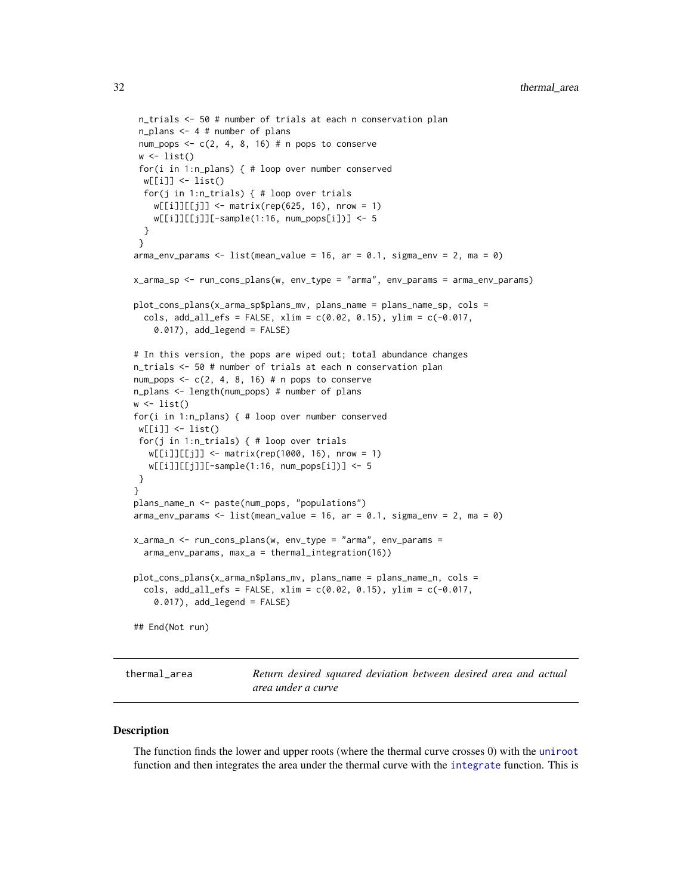```
n_trials <- 50 # number of trials at each n conservation plan
 n_plans <- 4 # number of plans
 num_pops <- c(2, 4, 8, 16) # n pops to conserve
w \leftarrow list()for(i in 1:n_plans) { # loop over number conserved
 w[[i]] <- list()
 for(j in 1:n_trials) { # loop over trials
   w[[i]][[j]] \le - \text{matrix}(\text{rep}(625, 16), \text{ nrow} = 1)w[[i]][[j]][-sample(1:16, num_pops[i])] <- 5
 }
 }
arma\_env\_params \leq 1ist(mean\_value = 16, ar = 0.1, sigma\_env = 2, ma = 0)x_arma_sp <- run_cons_plans(w, env_type = "arma", env_params = arma_env_params)
plot_cons_plans(x_arma_sp$plans_mv, plans_name = plans_name_sp, cols =
 cols, add_all_efs = FALSE, xlim = c(0.02, 0.15), ylim = c(-0.017,
   0.017), add_legend = FALSE)
# In this version, the pops are wiped out; total abundance changes
n_trials <- 50 # number of trials at each n conservation plan
num_pops \leq -c(2, 4, 8, 16) # n pops to conserve
n_plans <- length(num_pops) # number of plans
w <- list()
for(i in 1:n_plans) { # loop over number conserved
w[[i]] <- list()
for(j in 1:n_trials) { # loop over trials
  w[[i]][[j]] <- matrix(rep(1000, 16), nrow = 1)
  w[[i]][[j]][-sample(1:16, num_pops[i])] <- 5
}
}
plans_name_n <- paste(num_pops, "populations")
arma_env_params <- list(mean_value = 16, ar = 0.1, sigma_env = 2, ma = 0)
x_arma_n <- run_cons_plans(w, env_type = "arma", env_params =
 arma_env_params, max_a = thermal_integration(16))
plot_cons_plans(x_arma_n$plans_mv, plans_name = plans_name_n, cols =
 cols, add_all_efs = FALSE, xlim = c(0.02, 0.15), ylim = c(-0.017,
    0.017), add_legend = FALSE)
## End(Not run)
```
thermal\_area *Return desired squared deviation between desired area and actual area under a curve*

#### **Description**

The function finds the lower and upper roots (where the thermal curve crosses 0) with the [uniroot](#page-0-0) function and then integrates the area under the thermal curve with the [integrate](#page-0-0) function. This is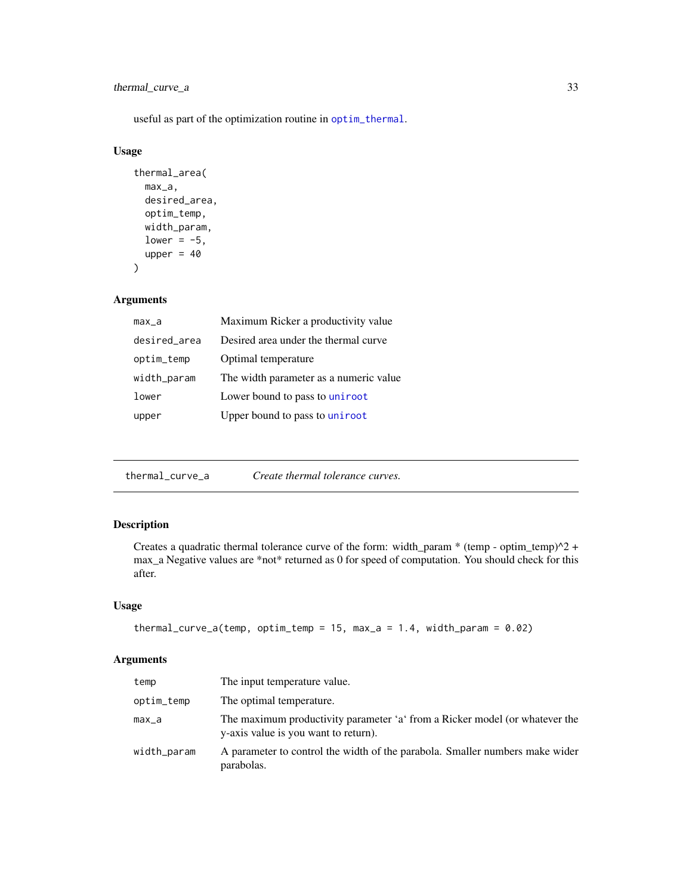## <span id="page-32-0"></span>thermal\_curve\_a 33

useful as part of the optimization routine in [optim\\_thermal](#page-20-2).

#### Usage

```
thermal_area(
 max_a,
 desired_area,
  optim_temp,
 width_param,
  lower = -5,
  upper = 40\mathcal{E}
```
#### Arguments

| max_a        | Maximum Ricker a productivity value     |
|--------------|-----------------------------------------|
| desired_area | Desired area under the thermal curve    |
| optim_temp   | Optimal temperature                     |
| width_param  | The width parameter as a numeric value. |
| lower        | Lower bound to pass to uniroot          |
| upper        | Upper bound to pass to uniroot          |

thermal\_curve\_a *Create thermal tolerance curves.*

## Description

Creates a quadratic thermal tolerance curve of the form: width\_param \* (temp - optim\_temp)^2 + max\_a Negative values are \*not\* returned as 0 for speed of computation. You should check for this after.

## Usage

```
thermal_curve_a(temp, optim_temp = 15, max_a = 1.4, width_param = 0.02)
```

| temp        | The input temperature value.                                                                                        |
|-------------|---------------------------------------------------------------------------------------------------------------------|
| optim_temp  | The optimal temperature.                                                                                            |
| max_a       | The maximum productivity parameter 'a' from a Ricker model (or whatever the<br>y-axis value is you want to return). |
| width_param | A parameter to control the width of the parabola. Smaller numbers make wider<br>parabolas.                          |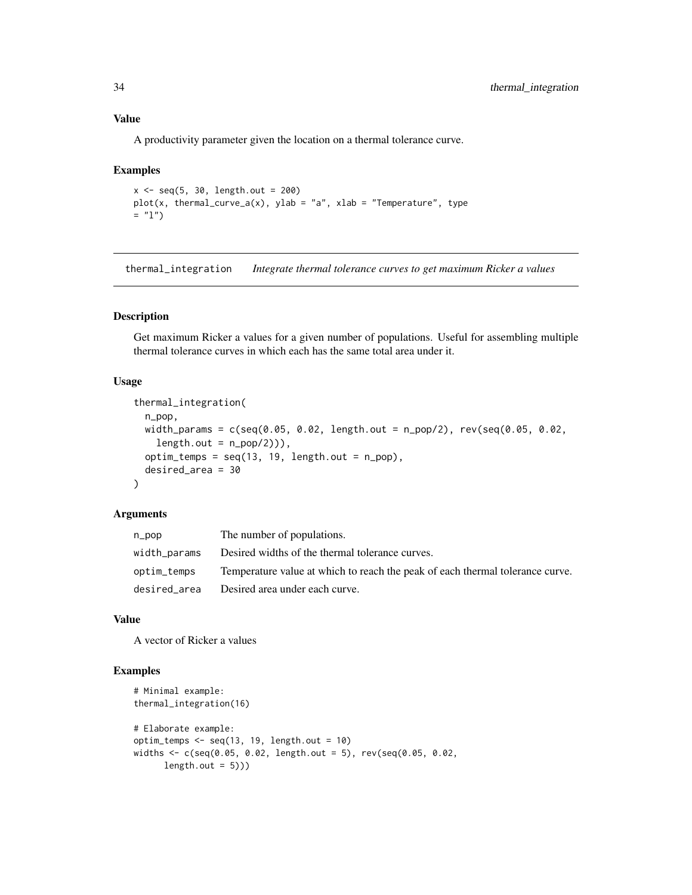#### Value

A productivity parameter given the location on a thermal tolerance curve.

#### Examples

```
x < - seq(5, 30, length.out = 200)
plot(x, thermal\_curve_a(x), ylab = "a", xlab = "Temperature", type= "1")
```
<span id="page-33-1"></span>thermal\_integration *Integrate thermal tolerance curves to get maximum Ricker a values*

## Description

Get maximum Ricker a values for a given number of populations. Useful for assembling multiple thermal tolerance curves in which each has the same total area under it.

#### Usage

```
thermal_integration(
  n_pop,
 width_params = c(seq(0.05, 0.02, length.out = n_pop/2), rev(seq(0.05, 0.02,
    length.out = n\_pop(2)),
 option_temps = seq(13, 19, length.out = n.pop),desired_area = 30
\mathcal{L}
```
#### Arguments

| n_pop        | The number of populations.                                                    |
|--------------|-------------------------------------------------------------------------------|
| width_params | Desired widths of the thermal tolerance curves.                               |
| optim_temps  | Temperature value at which to reach the peak of each thermal tolerance curve. |
| desired area | Desired area under each curve.                                                |

## Value

A vector of Ricker a values

## Examples

```
# Minimal example:
thermal_integration(16)
# Elaborate example:
optim_temps \leq seq(13, 19, length.out = 10)
widths <- c(seq(0.05, 0.02, length.out = 5), rev(seq(0.05, 0.02,
      length.out = 5))
```
<span id="page-33-0"></span>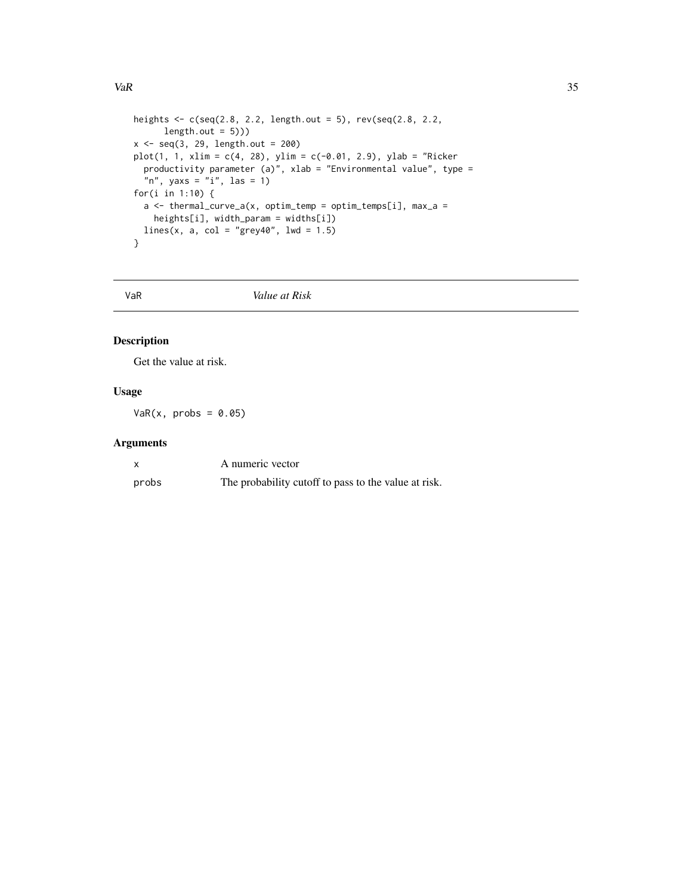```
heights \leq c(\text{seq}(2.8, 2.2, \text{length.out} = 5)), rev(\text{seq}(2.8, 2.2,length.out = 5))x \leq -\text{seq}(3, 29, \text{ length.out} = 200)plot(1, 1, xlim = c(4, 28), ylim = c(-0.01, 2.9), ylab = "Ricker
  productivity parameter (a)", xlab = "Environmental value", type =
  "n", yaxs = "i", las = 1)
for(i in 1:10) {
  a \leq thermal_curve_a(x, optim_temp = optim_temps[i], max_a =
    heights[i], width_param = widths[i])
  lines(x, a, col = "grey40", lwd = 1.5)
}
```
<span id="page-34-1"></span>VaR *Value at Risk*

## Description

Get the value at risk.

## Usage

 $VaR(x, probs = 0.05)$ 

|       | A numeric vector                                     |
|-------|------------------------------------------------------|
| probs | The probability cutoff to pass to the value at risk. |